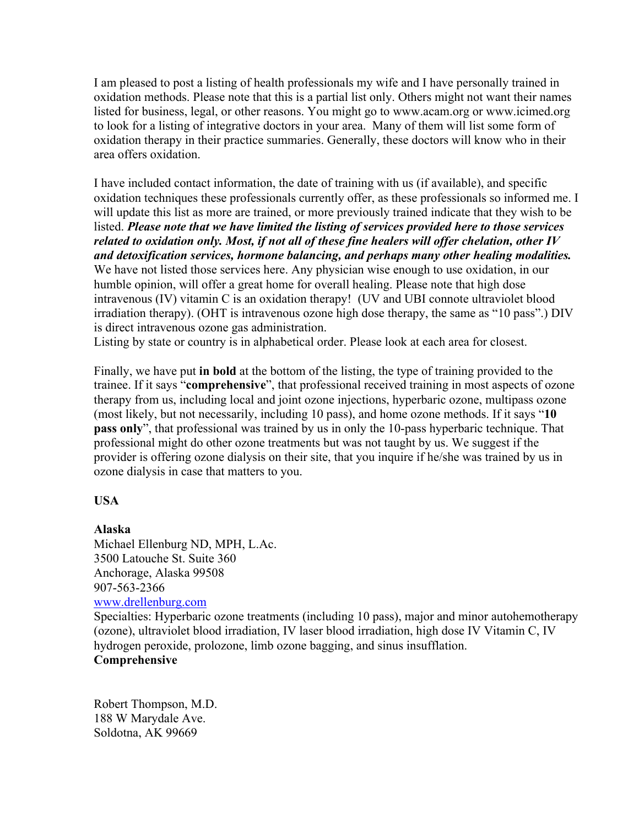I am pleased to post a listing of health professionals my wife and I have personally trained in oxidation methods. Please note that this is a partial list only. Others might not want their names listed for business, legal, or other reasons. You might go to www.acam.org or www.icimed.org to look for a listing of integrative doctors in your area. Many of them will list some form of oxidation therapy in their practice summaries. Generally, these doctors will know who in their area offers oxidation.

I have included contact information, the date of training with us (if available), and specific oxidation techniques these professionals currently offer, as these professionals so informed me. I will update this list as more are trained, or more previously trained indicate that they wish to be listed. *Please note that we have limited the listing of services provided here to those services related to oxidation only. Most, if not all of these fine healers will offer chelation, other IV and detoxification services, hormone balancing, and perhaps many other healing modalities.* We have not listed those services here. Any physician wise enough to use oxidation, in our humble opinion, will offer a great home for overall healing. Please note that high dose intravenous (IV) vitamin C is an oxidation therapy! (UV and UBI connote ultraviolet blood irradiation therapy). (OHT is intravenous ozone high dose therapy, the same as "10 pass".) DIV is direct intravenous ozone gas administration.

Listing by state or country is in alphabetical order. Please look at each area for closest.

Finally, we have put **in bold** at the bottom of the listing, the type of training provided to the trainee. If it says "**comprehensive**", that professional received training in most aspects of ozone therapy from us, including local and joint ozone injections, hyperbaric ozone, multipass ozone (most likely, but not necessarily, including 10 pass), and home ozone methods. If it says "**10 pass only**", that professional was trained by us in only the 10-pass hyperbaric technique. That professional might do other ozone treatments but was not taught by us. We suggest if the provider is offering ozone dialysis on their site, that you inquire if he/she was trained by us in ozone dialysis in case that matters to you.

# **USA**

# **Alaska**

Michael Ellenburg ND, MPH, L.Ac. 3500 Latouche St. Suite 360 Anchorage, Alaska 99508 907-563-2366 www.drellenburg.com

Specialties: Hyperbaric ozone treatments (including 10 pass), major and minor autohemotherapy (ozone), ultraviolet blood irradiation, IV laser blood irradiation, high dose IV Vitamin C, IV hydrogen peroxide, prolozone, limb ozone bagging, and sinus insufflation.

# **Comprehensive**

Robert Thompson, M.D. 188 W Marydale Ave. Soldotna, AK 99669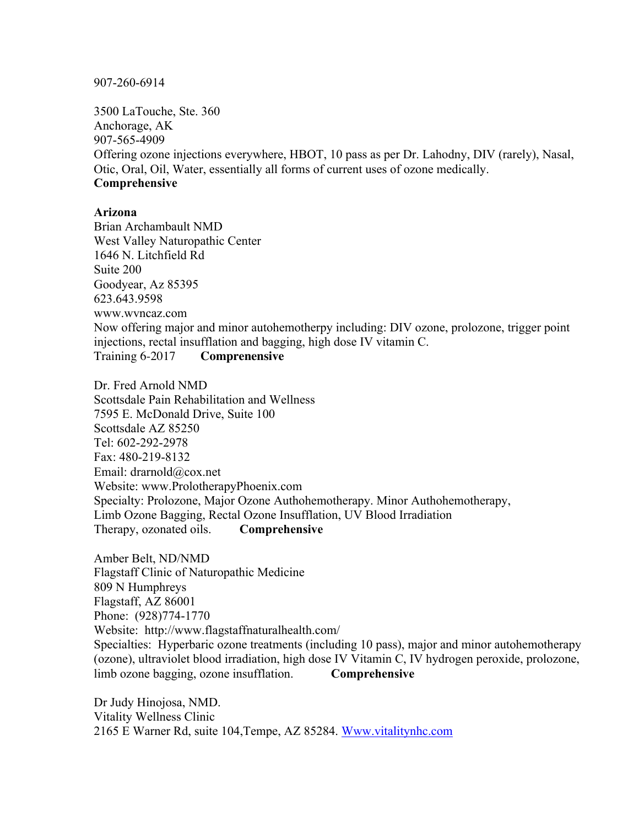907-260-6914

3500 LaTouche, Ste. 360 Anchorage, AK 907-565-4909 Offering ozone injections everywhere, HBOT, 10 pass as per Dr. Lahodny, DIV (rarely), Nasal, Otic, Oral, Oil, Water, essentially all forms of current uses of ozone medically. **Comprehensive**

#### **Arizona**

Brian Archambault NMD West Valley Naturopathic Center 1646 N. Litchfield Rd Suite 200 Goodyear, Az 85395 623.643.9598 www.wvncaz.com Now offering major and minor autohemotherpy including: DIV ozone, prolozone, trigger point injections, rectal insufflation and bagging, high dose IV vitamin C. Training 6-2017 **Comprenensive**

Dr. Fred Arnold NMD Scottsdale Pain Rehabilitation and Wellness 7595 E. McDonald Drive, Suite 100 Scottsdale AZ 85250 Tel: 602-292-2978 Fax: 480-219-8132 Email: drarnold@cox.net Website: www.ProlotherapyPhoenix.com Specialty: Prolozone, Major Ozone Authohemotherapy. Minor Authohemotherapy, Limb Ozone Bagging, Rectal Ozone Insufflation, UV Blood Irradiation Therapy, ozonated oils. **Comprehensive**

Amber Belt, ND/NMD Flagstaff Clinic of Naturopathic Medicine 809 N Humphreys Flagstaff, AZ 86001 Phone: (928)774-1770 Website: http://www.flagstaffnaturalhealth.com/ Specialties: Hyperbaric ozone treatments (including 10 pass), major and minor autohemotherapy (ozone), ultraviolet blood irradiation, high dose IV Vitamin C, IV hydrogen peroxide, prolozone, limb ozone bagging, ozone insufflation. **Comprehensive**

Dr Judy Hinojosa, NMD. Vitality Wellness Clinic 2165 E Warner Rd, suite 104,Tempe, AZ 85284. Www.vitalitynhc.com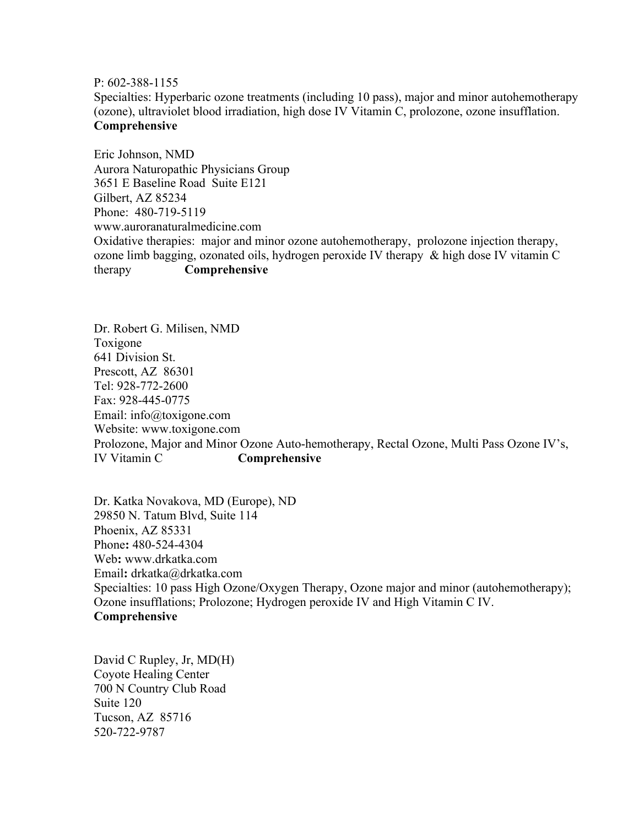P: 602-388-1155

Specialties: Hyperbaric ozone treatments (including 10 pass), major and minor autohemotherapy (ozone), ultraviolet blood irradiation, high dose IV Vitamin C, prolozone, ozone insufflation. **Comprehensive**

Eric Johnson, NMD Aurora Naturopathic Physicians Group 3651 E Baseline Road Suite E121 Gilbert, AZ 85234 Phone: 480-719-5119 www.auroranaturalmedicine.com Oxidative therapies: major and minor ozone autohemotherapy, prolozone injection therapy, ozone limb bagging, ozonated oils, hydrogen peroxide IV therapy & high dose IV vitamin C therapy **Comprehensive**

Dr. Robert G. Milisen, NMD Toxigone 641 Division St. Prescott, AZ 86301 Tel: 928-772-2600 Fax: 928-445-0775 Email: info@toxigone.com Website: www.toxigone.com Prolozone, Major and Minor Ozone Auto-hemotherapy, Rectal Ozone, Multi Pass Ozone IV's, IV Vitamin C **Comprehensive**

Dr. Katka Novakova, MD (Europe), ND 29850 N. Tatum Blvd, Suite 114 Phoenix, AZ 85331 Phone**:** 480-524-4304 Web**:** www.drkatka.com Email**:** drkatka@drkatka.com Specialties: 10 pass High Ozone/Oxygen Therapy, Ozone major and minor (autohemotherapy); Ozone insufflations; Prolozone; Hydrogen peroxide IV and High Vitamin C IV. **Comprehensive**

David C Rupley, Jr, MD(H) Coyote Healing Center 700 N Country Club Road Suite 120 Tucson, AZ 85716 520-722-9787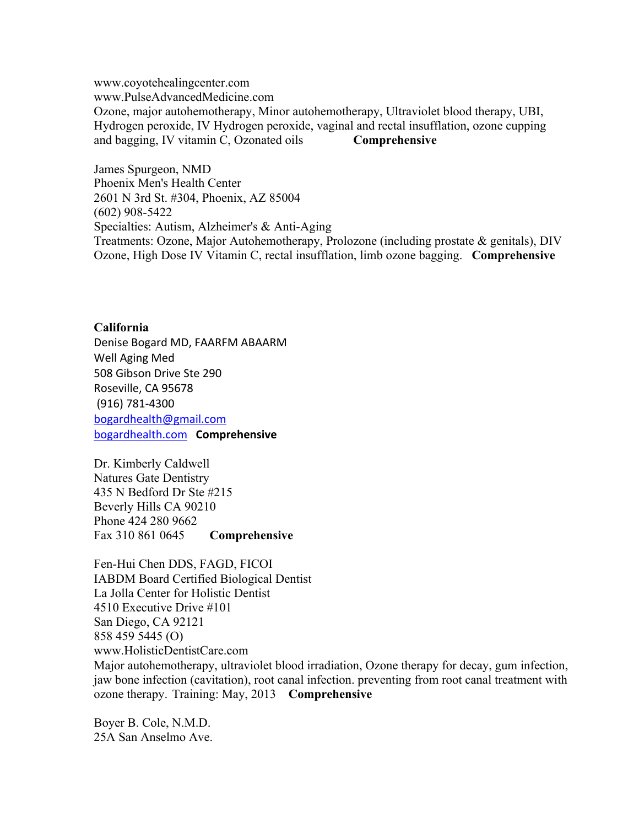www.coyotehealingcenter.com www.PulseAdvancedMedicine.com Ozone, major autohemotherapy, Minor autohemotherapy, Ultraviolet blood therapy, UBI, Hydrogen peroxide, IV Hydrogen peroxide, vaginal and rectal insufflation, ozone cupping and bagging, IV vitamin C, Ozonated oils **Comprehensive**

James Spurgeon, NMD Phoenix Men's Health Center 2601 N 3rd St. #304, Phoenix, AZ 85004 (602) 908-5422 Specialties: Autism, Alzheimer's & Anti-Aging Treatments: Ozone, Major Autohemotherapy, Prolozone (including prostate & genitals), DIV Ozone, High Dose IV Vitamin C, rectal insufflation, limb ozone bagging. **Comprehensive**

#### **California**

Denise Bogard MD, FAARFM ABAARM Well Aging Med 508 Gibson Drive Ste 290 Roseville, CA 95678 (916) 781-4300 bogardhealth@gmail.com bogardhealth.com **Comprehensive**

Dr. Kimberly Caldwell Natures Gate Dentistry 435 N Bedford Dr Ste #215 Beverly Hills CA 90210 Phone 424 280 9662 Fax 310 861 0645 **Comprehensive**

Fen-Hui Chen DDS, FAGD, FICOI IABDM Board Certified Biological Dentist La Jolla Center for Holistic Dentist 4510 Executive Drive #101 San Diego, CA 92121 858 459 5445 (O) www.HolisticDentistCare.com

Major autohemotherapy, ultraviolet blood irradiation, Ozone therapy for decay, gum infection, jaw bone infection (cavitation), root canal infection. preventing from root canal treatment with ozone therapy. Training: May, 2013 **Comprehensive**

Boyer B. Cole, N.M.D. 25A San Anselmo Ave.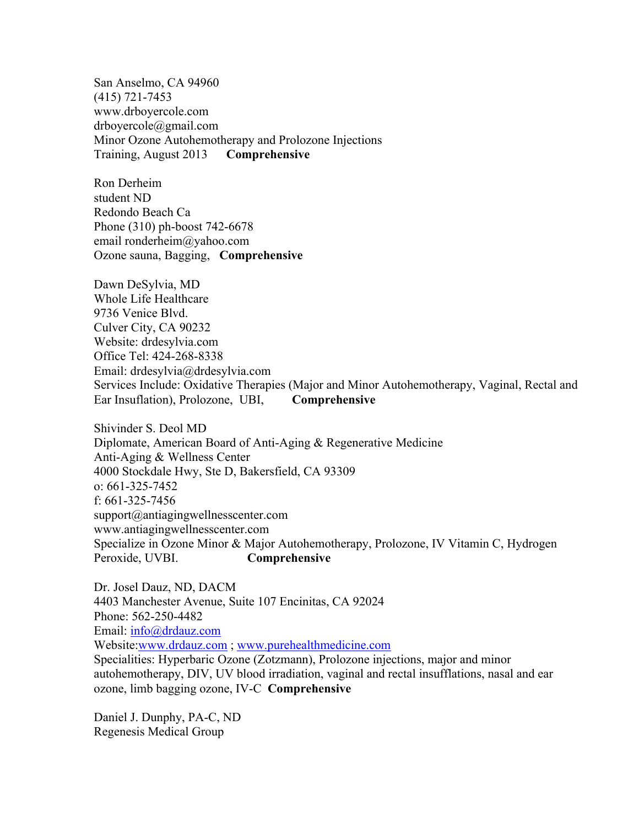San Anselmo, CA 94960 (415) 721-7453 www.drboyercole.com drboyercole@gmail.com Minor Ozone Autohemotherapy and Prolozone Injections Training, August 2013 **Comprehensive**

Ron Derheim student ND Redondo Beach Ca Phone (310) ph-boost 742-6678 email ronderheim@yahoo.com Ozone sauna, Bagging, **Comprehensive**

Dawn DeSylvia, MD Whole Life Healthcare 9736 Venice Blvd. Culver City, CA 90232 Website: drdesylvia.com Office Tel: 424-268-8338 Email: drdesylvia@drdesylvia.com Services Include: Oxidative Therapies (Major and Minor Autohemotherapy, Vaginal, Rectal and Ear Insuflation), Prolozone, UBI, **Comprehensive**

Shivinder S. Deol MD Diplomate, American Board of Anti-Aging & Regenerative Medicine Anti-Aging & Wellness Center 4000 Stockdale Hwy, Ste D, Bakersfield, CA 93309 o: 661-325-7452 f: 661-325-7456 support@antiagingwellnesscenter.com www.antiagingwellnesscenter.com Specialize in Ozone Minor & Major Autohemotherapy, Prolozone, IV Vitamin C, Hydrogen Peroxide, UVBI. **Comprehensive**

Dr. Josel Dauz, ND, DACM 4403 Manchester Avenue, Suite 107 Encinitas, CA 92024 Phone: 562-250-4482 Email: info@drdauz.com Website:www.drdauz.com ; www.purehealthmedicine.com Specialities: Hyperbaric Ozone (Zotzmann), Prolozone injections, major and minor autohemotherapy, DIV, UV blood irradiation, vaginal and rectal insufflations, nasal and ear ozone, limb bagging ozone, IV-C **Comprehensive**

Daniel J. Dunphy, PA-C, ND Regenesis Medical Group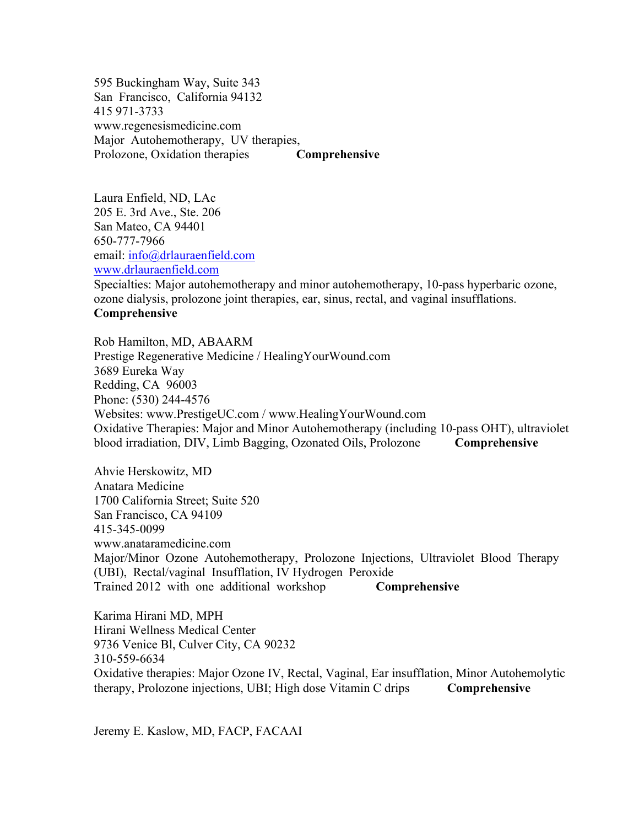595 Buckingham Way, Suite 343 San Francisco, California 94132 415 971-3733 www.regenesismedicine.com Major Autohemotherapy, UV therapies, Prolozone, Oxidation therapies **Comprehensive**

Laura Enfield, ND, LAc 205 E. 3rd Ave., Ste. 206 San Mateo, CA 94401 650-777-7966 email: info@drlauraenfield.com www.drlauraenfield.com Specialties: Major autohemotherapy and minor autohemotherapy, 10-pass hyperbaric ozone, ozone dialysis, prolozone joint therapies, ear, sinus, rectal, and vaginal insufflations. **Comprehensive**

Rob Hamilton, MD, ABAARM Prestige Regenerative Medicine / HealingYourWound.com 3689 Eureka Way Redding, CA 96003 Phone: (530) 244-4576 Websites: www.PrestigeUC.com / www.HealingYourWound.com Oxidative Therapies: Major and Minor Autohemotherapy (including 10-pass OHT), ultraviolet blood irradiation, DIV, Limb Bagging, Ozonated Oils, Prolozone **Comprehensive**

Ahvie Herskowitz, MD Anatara Medicine 1700 California Street; Suite 520 San Francisco, CA 94109 415-345-0099 www.anataramedicine.com Major/Minor Ozone Autohemotherapy, Prolozone Injections, Ultraviolet Blood Therapy (UBI), Rectal/vaginal Insufflation, IV Hydrogen Peroxide Trained 2012 with one additional workshop **Comprehensive**

Karima Hirani MD, MPH Hirani Wellness Medical Center 9736 Venice Bl, Culver City, CA 90232 310-559-6634 Oxidative therapies: Major Ozone IV, Rectal, Vaginal, Ear insufflation, Minor Autohemolytic therapy, Prolozone injections, UBI; High dose Vitamin C drips **Comprehensive**

Jeremy E. Kaslow, MD, FACP, FACAAI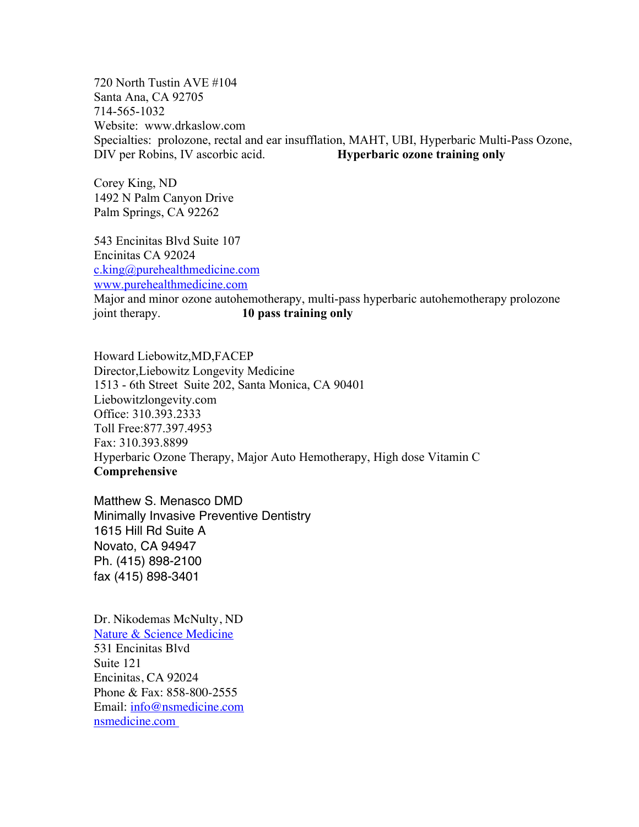720 North Tustin AVE #104 Santa Ana, CA 92705 714-565-1032 Website: www.drkaslow.com Specialties: prolozone, rectal and ear insufflation, MAHT, UBI, Hyperbaric Multi-Pass Ozone, DIV per Robins, IV ascorbic acid. **Hyperbaric ozone training only**

Corey King, ND 1492 N Palm Canyon Drive Palm Springs, CA 92262

543 Encinitas Blvd Suite 107 Encinitas CA 92024 c.king@purehealthmedicine.com www.purehealthmedicine.com

Major and minor ozone autohemotherapy, multi-pass hyperbaric autohemotherapy prolozone joint therapy. **10 pass training only**

Howard Liebowitz,MD,FACEP Director,Liebowitz Longevity Medicine 1513 - 6th Street Suite 202, Santa Monica, CA 90401 Liebowitzlongevity.com Office: 310.393.2333 Toll Free:877.397.4953 Fax: 310.393.8899 Hyperbaric Ozone Therapy, Major Auto Hemotherapy, High dose Vitamin C **Comprehensive**

Matthew S. Menasco DMD Minimally Invasive Preventive Dentistry 1615 Hill Rd Suite A Novato, CA 94947 Ph. (415) 898-2100 fax (415) 898-3401

Dr. Nikodemas McNulty, ND Nature & Science Medicine 531 Encinitas Blvd Suite 121 Encinitas, CA 92024 Phone & Fax: 858-800-2555 Email: info@nsmedicine.com nsmedicine.com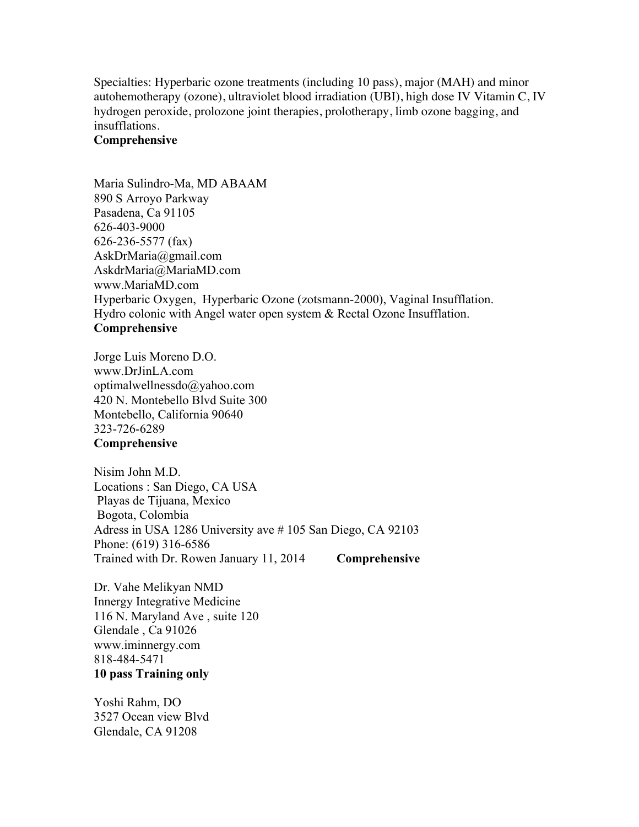Specialties: Hyperbaric ozone treatments (including 10 pass), major (MAH) and minor autohemotherapy (ozone), ultraviolet blood irradiation (UBI), high dose IV Vitamin C, IV hydrogen peroxide, prolozone joint therapies, prolotherapy, limb ozone bagging, and insufflations.

# **Comprehensive**

Maria Sulindro-Ma, MD ABAAM 890 S Arroyo Parkway Pasadena, Ca 91105 626-403-9000 626-236-5577 (fax) AskDrMaria@gmail.com AskdrMaria@MariaMD.com www.MariaMD.com Hyperbaric Oxygen, Hyperbaric Ozone (zotsmann-2000), Vaginal Insufflation. Hydro colonic with Angel water open system & Rectal Ozone Insufflation. **Comprehensive**

Jorge Luis Moreno D.O. www.DrJinLA.com optimalwellnessdo@yahoo.com 420 N. Montebello Blvd Suite 300 Montebello, California 90640 323-726-6289 **Comprehensive**

Nisim John M.D. Locations : San Diego, CA USA Playas de Tijuana, Mexico Bogota, Colombia Adress in USA 1286 University ave # 105 San Diego, CA 92103 Phone: (619) 316-6586 Trained with Dr. Rowen January 11, 2014 **Comprehensive**

Dr. Vahe Melikyan NMD Innergy Integrative Medicine 116 N. Maryland Ave , suite 120 Glendale , Ca 91026 www.iminnergy.com 818-484-5471 **10 pass Training only**

Yoshi Rahm, DO 3527 Ocean view Blvd Glendale, CA 91208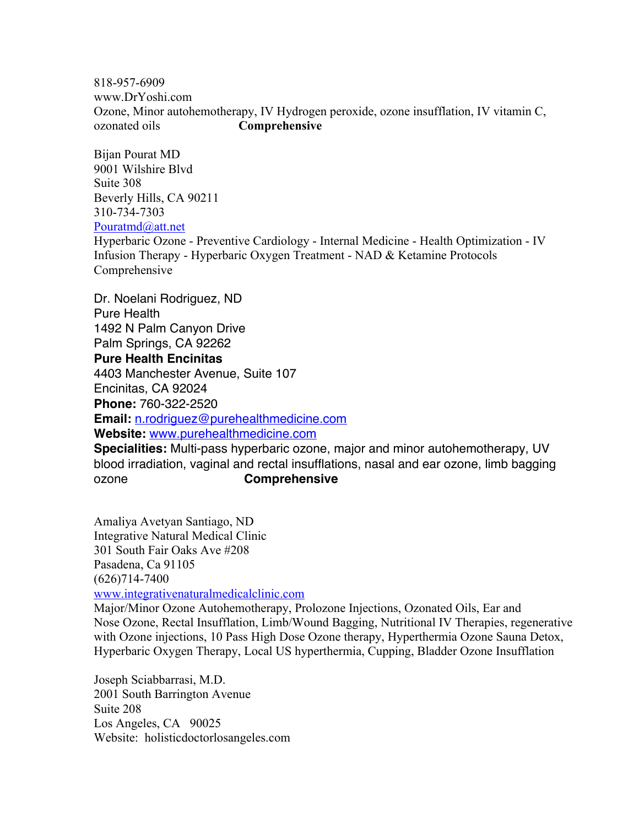818-957-6909 www.DrYoshi.com Ozone, Minor autohemotherapy, IV Hydrogen peroxide, ozone insufflation, IV vitamin C, ozonated oils **Comprehensive**

Bijan Pourat MD 9001 Wilshire Blvd Suite 308 Beverly Hills, CA 90211 310-734-7303 Pouratmd@att.net

Hyperbaric Ozone - Preventive Cardiology - Internal Medicine - Health Optimization - IV Infusion Therapy - Hyperbaric Oxygen Treatment - NAD & Ketamine Protocols Comprehensive

Dr. Noelani Rodriguez, ND Pure Health 1492 N Palm Canyon Drive Palm Springs, CA 92262 **Pure Health Encinitas** 4403 Manchester Avenue, Suite 107 Encinitas, CA 92024 **Phone:** 760-322-2520 **Email:** n.rodriguez@purehealthmedicine.com **Website:** www.purehealthmedicine.com

**Specialities:** Multi-pass hyperbaric ozone, major and minor autohemotherapy, UV blood irradiation, vaginal and rectal insufflations, nasal and ear ozone, limb bagging ozone **Comprehensive**

Amaliya Avetyan Santiago, ND Integrative Natural Medical Clinic 301 South Fair Oaks Ave #208 Pasadena, Ca 91105 (626)714-7400 www.integrativenaturalmedicalclinic.com

Major/Minor Ozone Autohemotherapy, Prolozone Injections, Ozonated Oils, Ear and Nose Ozone, Rectal Insufflation, Limb/Wound Bagging, Nutritional IV Therapies, regenerative with Ozone injections, 10 Pass High Dose Ozone therapy, Hyperthermia Ozone Sauna Detox, Hyperbaric Oxygen Therapy, Local US hyperthermia, Cupping, Bladder Ozone Insufflation

Joseph Sciabbarrasi, M.D. 2001 South Barrington Avenue Suite 208 Los Angeles, CA 90025 Website: holisticdoctorlosangeles.com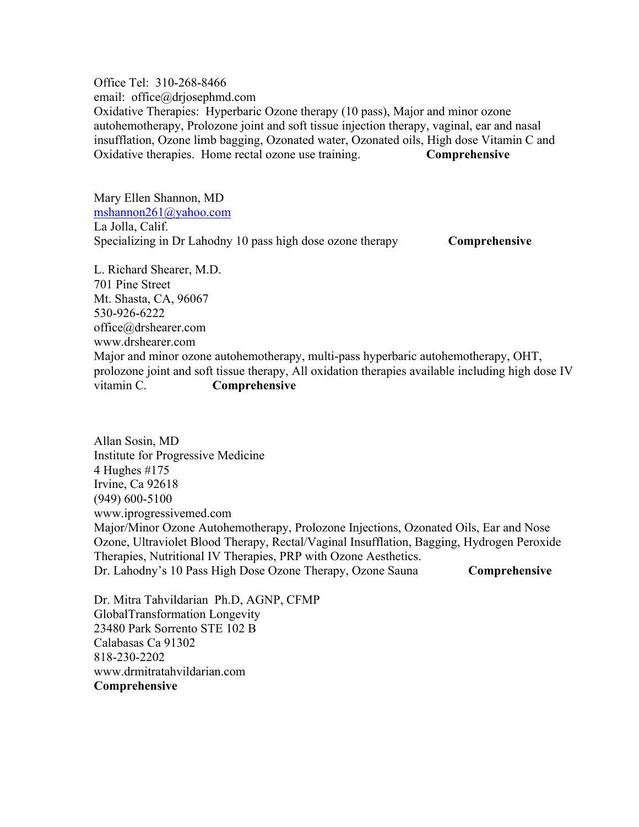Office Tel: 310-268-8466 email: office@drjosephmd.com Oxidative Therapies: Hyperbaric Ozone therapy (10 pass), Major and minor ozone autohemotherapy, Prolozone joint and soft tissue injection therapy, vaginal, ear and nasal insufflation, Ozone limb bagging, Ozonated water, Ozonated oils, High dose Vitamin C and Oxidative therapies. Home rectal ozone use training. **Comprehensive**

Mary Ellen Shannon, MD mshannon261@yahoo.com La Jolla, Calif. Specializing in Dr Lahodny 10 pass high dose ozone therapy **Comprehensive** 

L. Richard Shearer, M.D. 701 Pine Street Mt. Shasta, CA, 96067 530-926-6222 office@drshearer.com www.drshearer.com Major and minor ozone autohemotherapy, multi-pass hyperbaric autohemotherapy, OHT, prolozone joint and soft tissue therapy, All oxidation therapies available including high dose IV vitamin C. **Comprehensive**

Allan Sosin, MD Institute for Progressive Medicine 4 Hughes #175 Irvine, Ca 92618 (949) 600-5100 www.iprogressivemed.com Major/Minor Ozone Autohemotherapy, Prolozone Injections, Ozonated Oils, Ear and Nose Ozone, Ultraviolet Blood Therapy, Rectal/Vaginal Insufflation, Bagging, Hydrogen Peroxide Therapies, Nutritional IV Therapies, PRP with Ozone Aesthetics. Dr. Lahodny's 10 Pass High Dose Ozone Therapy, Ozone Sauna **Comprehensive**

Dr. Mitra Tahvildarian Ph.D, AGNP, CFMP GlobalTransformation Longevity 23480 Park Sorrento STE 102 B Calabasas Ca 91302 818-230-2202 www.drmitratahvildarian.com **Comprehensive**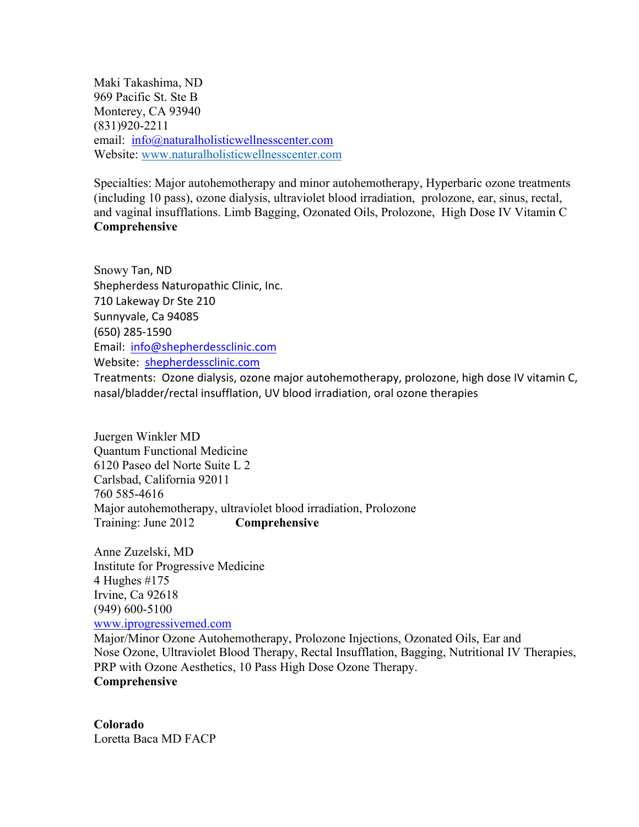Maki Takashima, ND 969 Pacific St. Ste B Monterey, CA 93940 (831)920-2211 email: info@naturalholisticwellnesscenter.com Website: www.naturalholisticwellnesscenter.com

Specialties: Major autohemotherapy and minor autohemotherapy, Hyperbaric ozone treatments (including 10 pass), ozone dialysis, ultraviolet blood irradiation, prolozone, ear, sinus, rectal, and vaginal insufflations. Limb Bagging, Ozonated Oils, Prolozone, High Dose IV Vitamin C **Comprehensive**

Snowy Tan, ND Shepherdess Naturopathic Clinic, Inc. 710 Lakeway Dr Ste 210 Sunnyvale, Ca 94085 (650) 285-1590 Email: info@shepherdessclinic.com Website: shepherdessclinic.com

Treatments: Ozone dialysis, ozone major autohemotherapy, prolozone, high dose IV vitamin C, nasal/bladder/rectal insufflation, UV blood irradiation, oral ozone therapies

Juergen Winkler MD Quantum Functional Medicine 6120 Paseo del Norte Suite L 2 Carlsbad, California 92011 760 585-4616 Major autohemotherapy, ultraviolet blood irradiation, Prolozone Training: June 2012 **Comprehensive**

Anne Zuzelski, MD Institute for Progressive Medicine 4 Hughes #175 Irvine, Ca 92618 (949) 600-5100 www.iprogressivemed.com

Major/Minor Ozone Autohemotherapy, Prolozone Injections, Ozonated Oils, Ear and Nose Ozone, Ultraviolet Blood Therapy, Rectal Insufflation, Bagging, Nutritional IV Therapies, PRP with Ozone Aesthetics, 10 Pass High Dose Ozone Therapy. **Comprehensive**

**Colorado** Loretta Baca MD FACP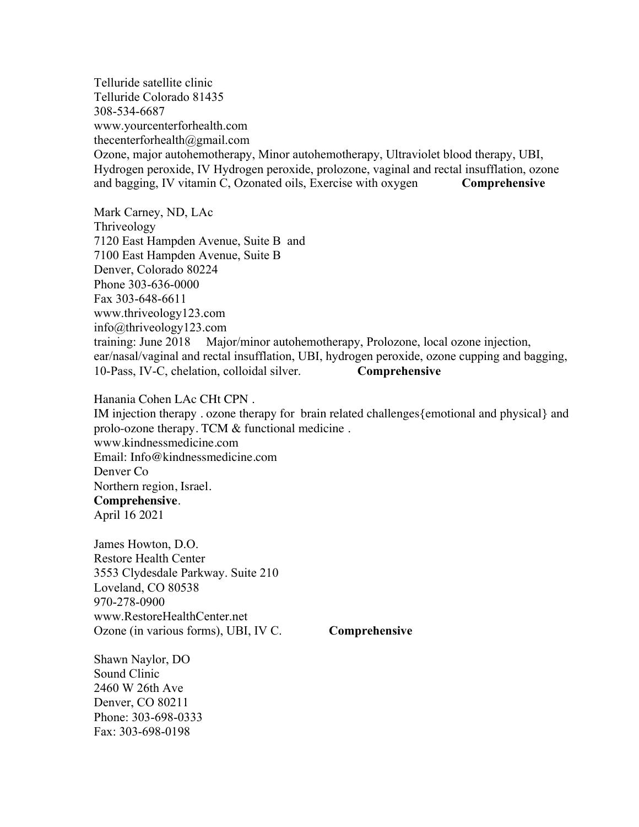Telluride satellite clinic Telluride Colorado 81435 308-534-6687 www.yourcenterforhealth.com thecenterforhealth@gmail.com Ozone, major autohemotherapy, Minor autohemotherapy, Ultraviolet blood therapy, UBI, Hydrogen peroxide, IV Hydrogen peroxide, prolozone, vaginal and rectal insufflation, ozone and bagging, IV vitamin C, Ozonated oils, Exercise with oxygen **Comprehensive** 

Mark Carney, ND, LAc Thriveology 7120 East Hampden Avenue, Suite B and 7100 East Hampden Avenue, Suite B Denver, Colorado 80224 Phone 303-636-0000 Fax 303-648-6611 www.thriveology123.com info@thriveology123.com training: June 2018 Major/minor autohemotherapy, Prolozone, local ozone injection, ear/nasal/vaginal and rectal insufflation, UBI, hydrogen peroxide, ozone cupping and bagging, 10-Pass, IV-C, chelation, colloidal silver. **Comprehensive**

Hanania Cohen LAc CHt CPN .

IM injection therapy . ozone therapy for brain related challenges{emotional and physical} and prolo-ozone therapy. TCM & functional medicine . www.kindnessmedicine.com Email: Info@kindnessmedicine.com Denver Co Northern region, Israel. **Comprehensive**. April 16 2021

James Howton, D.O. Restore Health Center 3553 Clydesdale Parkway. Suite 210 Loveland, CO 80538 970-278-0900 www.RestoreHealthCenter.net Ozone (in various forms), UBI, IV C. **Comprehensive**

Shawn Naylor, DO Sound Clinic 2460 W 26th Ave Denver, CO 80211 Phone: 303-698-0333 Fax: 303-698-0198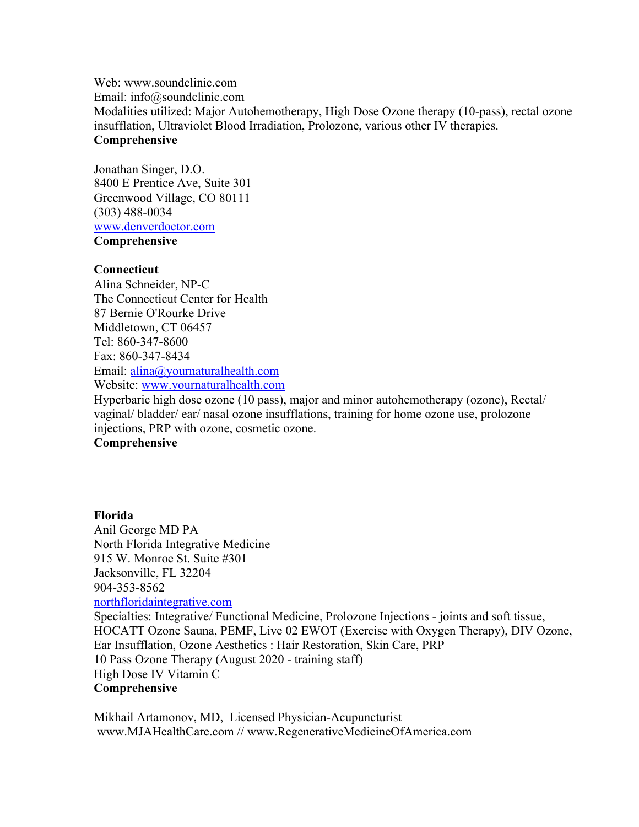Web: www.soundclinic.com Email: info@soundclinic.com Modalities utilized: Major Autohemotherapy, High Dose Ozone therapy (10-pass), rectal ozone insufflation, Ultraviolet Blood Irradiation, Prolozone, various other IV therapies. **Comprehensive**

Jonathan Singer, D.O. 8400 E Prentice Ave, Suite 301 Greenwood Village, CO 80111 (303) 488-0034 www.denverdoctor.com **Comprehensive**

## **Connecticut**

Alina Schneider, NP-C The Connecticut Center for Health 87 Bernie O'Rourke Drive Middletown, CT 06457 Tel: 860-347-8600 Fax: 860-347-8434 Email: alina@yournaturalhealth.com Website: www.yournaturalhealth.com

Hyperbaric high dose ozone (10 pass), major and minor autohemotherapy (ozone), Rectal/ vaginal/ bladder/ ear/ nasal ozone insufflations, training for home ozone use, prolozone injections, PRP with ozone, cosmetic ozone.

# **Comprehensive**

# **Florida** Anil George MD PA North Florida Integrative Medicine 915 W. Monroe St. Suite #301 Jacksonville, FL 32204 904-353-8562 northfloridaintegrative.com Specialties: Integrative/ Functional Medicine, Prolozone Injections - joints and soft tissue, HOCATT Ozone Sauna, PEMF, Live 02 EWOT (Exercise with Oxygen Therapy), DIV Ozone, Ear Insufflation, Ozone Aesthetics : Hair Restoration, Skin Care, PRP 10 Pass Ozone Therapy (August 2020 - training staff) High Dose IV Vitamin C **Comprehensive**

Mikhail Artamonov, MD, Licensed Physician-Acupuncturist www.MJAHealthCare.com // www.RegenerativeMedicineOfAmerica.com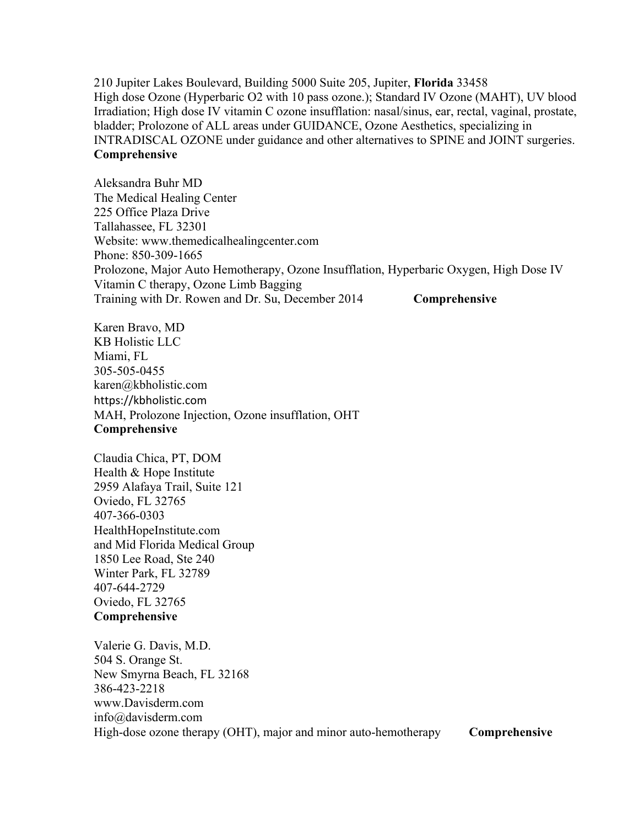210 Jupiter Lakes Boulevard, Building 5000 Suite 205, Jupiter, **Florida** 33458 High dose Ozone (Hyperbaric O2 with 10 pass ozone.); Standard IV Ozone (MAHT), UV blood Irradiation; High dose IV vitamin C ozone insufflation: nasal/sinus, ear, rectal, vaginal, prostate, bladder; Prolozone of ALL areas under GUIDANCE, Ozone Aesthetics, specializing in INTRADISCAL OZONE under guidance and other alternatives to SPINE and JOINT surgeries. **Comprehensive**

Aleksandra Buhr MD The Medical Healing Center 225 Office Plaza Drive Tallahassee, FL 32301 Website: www.themedicalhealingcenter.com Phone: 850-309-1665 Prolozone, Major Auto Hemotherapy, Ozone Insufflation, Hyperbaric Oxygen, High Dose IV Vitamin C therapy, Ozone Limb Bagging Training with Dr. Rowen and Dr. Su, December 2014 **Comprehensive**

Karen Bravo, MD KB Holistic LLC Miami, FL 305-505-0455 karen@kbholistic.com https://kbholistic.com MAH, Prolozone Injection, Ozone insufflation, OHT **Comprehensive**

Claudia Chica, PT, DOM Health & Hope Institute 2959 Alafaya Trail, Suite 121 Oviedo, FL 32765 407-366-0303 HealthHopeInstitute.com and Mid Florida Medical Group 1850 Lee Road, Ste 240 Winter Park, FL 32789 407-644-2729 Oviedo, FL 32765 **Comprehensive**

Valerie G. Davis, M.D. 504 S. Orange St. New Smyrna Beach, FL 32168 386-423-2218 www.Davisderm.com info@davisderm.com High-dose ozone therapy (OHT), major and minor auto-hemotherapy **Comprehensive**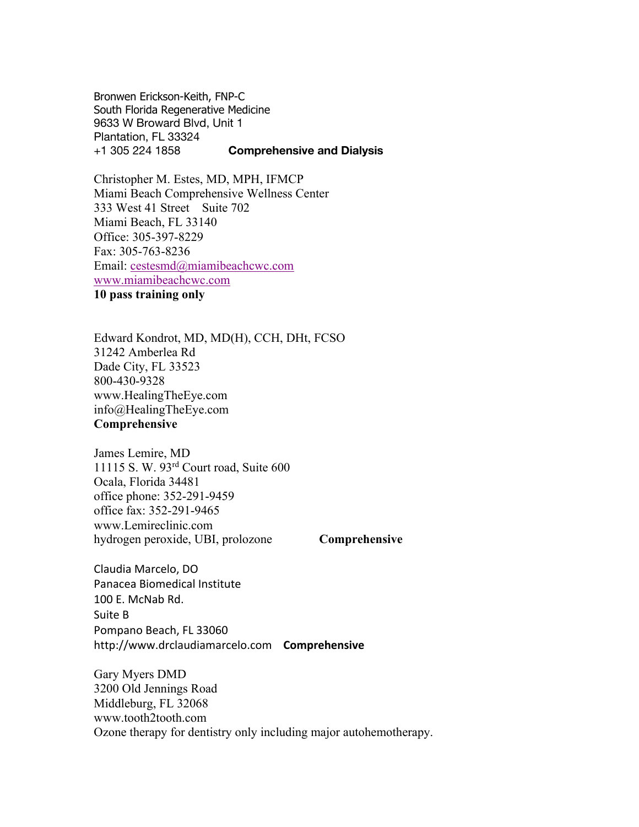Bronwen Erickson-Keith, FNP-C South Florida Regenerative Medicine 9633 W Broward Blvd, Unit 1 Plantation, FL 33324 +1 305 224 1858 **Comprehensive and Dialysis**

Christopher M. Estes, MD, MPH, IFMCP Miami Beach Comprehensive Wellness Center 333 West 41 Street Suite 702 Miami Beach, FL 33140 Office: 305-397-8229 Fax: 305-763-8236 Email: cestesmd@miamibeachcwc.com www.miamibeachcwc.com **10 pass training only**

Edward Kondrot, MD, MD(H), CCH, DHt, FCSO 31242 Amberlea Rd Dade City, FL 33523 800-430-9328 www.HealingTheEye.com info@HealingTheEye.com **Comprehensive**

James Lemire, MD 11115 S. W. 93rd Court road, Suite 600 Ocala, Florida 34481 office phone: 352-291-9459 office fax: 352-291-9465 www.Lemireclinic.com hydrogen peroxide, UBI, prolozone **Comprehensive**

Claudia Marcelo, DO Panacea Biomedical Institute 100 E. McNab Rd. Suite B Pompano Beach, FL 33060 http://www.drclaudiamarcelo.com **Comprehensive**

Gary Myers DMD 3200 Old Jennings Road Middleburg, FL 32068 www.tooth2tooth.com Ozone therapy for dentistry only including major autohemotherapy.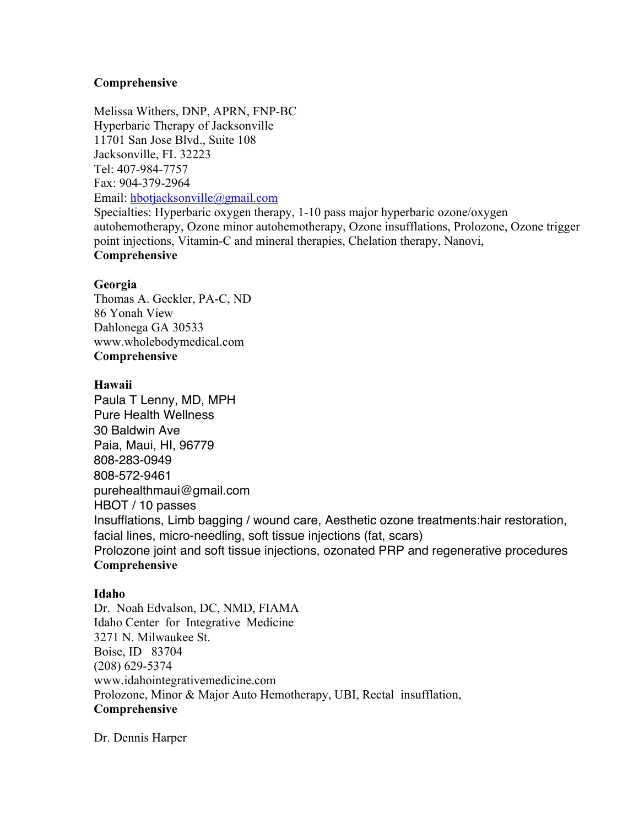# **Comprehensive**

Melissa Withers, DNP, APRN, FNP-BC Hyperbaric Therapy of Jacksonville 11701 San Jose Blvd., Suite 108 Jacksonville, FL 32223 Tel: 407-984-7757 Fax: 904-379-2964 Email: hbotjacksonville@gmail.com Specialties: Hyperbaric oxygen therapy, 1-10 pass major hyperbaric ozone/oxygen autohemotherapy, Ozone minor autohemotherapy, Ozone insufflations, Prolozone, Ozone trigger point injections, Vitamin-C and mineral therapies, Chelation therapy, Nanovi, **Comprehensive**

# **Georgia**

Thomas A. Geckler, PA-C, ND 86 Yonah View Dahlonega GA 30533 www.wholebodymedical.com **Comprehensive**

# **Hawaii**

Paula T Lenny, MD, MPH Pure Health Wellness 30 Baldwin Ave Paia, Maui, HI, 96779 808-283-0949 808-572-9461 purehealthmaui@gmail.com HBOT / 10 passes Insufflations, Limb bagging / wound care, Aesthetic ozone treatments:hair restoration, facial lines, micro-needling, soft tissue injections (fat, scars) Prolozone joint and soft tissue injections, ozonated PRP and regenerative procedures **Comprehensive**

# **Idaho**

Dr. Noah Edvalson, DC, NMD, FIAMA Idaho Center for Integrative Medicine 3271 N. Milwaukee St. Boise, ID 83704 (208) 629-5374 www.idahointegrativemedicine.com Prolozone, Minor & Major Auto Hemotherapy, UBI, Rectal insufflation, **Comprehensive**

Dr. Dennis Harper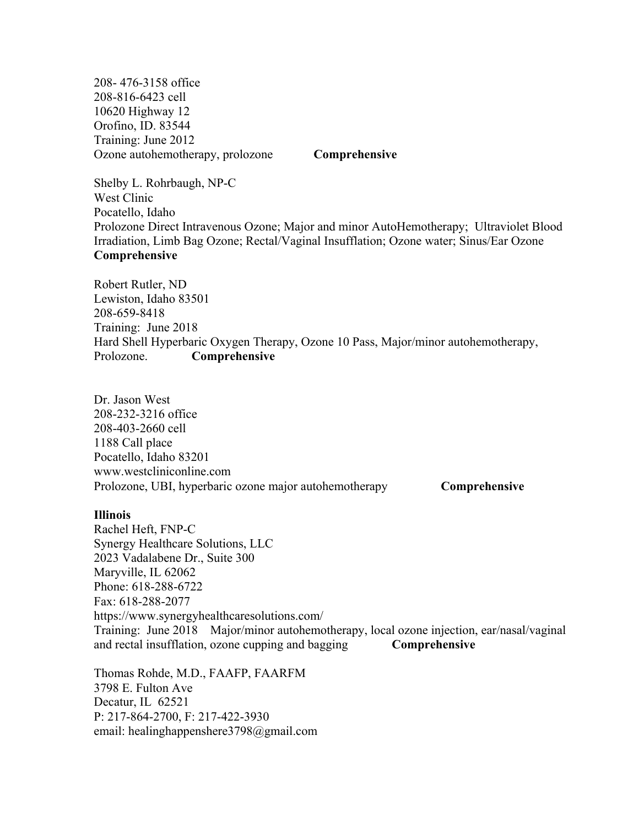208- 476-3158 office 208-816-6423 cell 10620 Highway 12 Orofino, ID. 83544 Training: June 2012 Ozone autohemotherapy, prolozone **Comprehensive**

Shelby L. Rohrbaugh, NP-C West Clinic Pocatello, Idaho Prolozone Direct Intravenous Ozone; Major and minor AutoHemotherapy; Ultraviolet Blood Irradiation, Limb Bag Ozone; Rectal/Vaginal Insufflation; Ozone water; Sinus/Ear Ozone **Comprehensive**

Robert Rutler, ND Lewiston, Idaho 83501 208-659-8418 Training: June 2018 Hard Shell Hyperbaric Oxygen Therapy, Ozone 10 Pass, Major/minor autohemotherapy, Prolozone. **Comprehensive**

Dr. Jason West 208-232-3216 office 208-403-2660 cell 1188 Call place Pocatello, Idaho 83201 www.westcliniconline.com Prolozone, UBI, hyperbaric ozone major autohemotherapy **Comprehensive** 

#### **Illinois**

Rachel Heft, FNP-C Synergy Healthcare Solutions, LLC 2023 Vadalabene Dr., Suite 300 Maryville, IL 62062 Phone: 618-288-6722 Fax: 618-288-2077 https://www.synergyhealthcaresolutions.com/ Training: June 2018 Major/minor autohemotherapy, local ozone injection, ear/nasal/vaginal and rectal insufflation, ozone cupping and bagging **Comprehensive**

Thomas Rohde, M.D., FAAFP, FAARFM 3798 E. Fulton Ave Decatur, IL 62521 P: 217-864-2700, F: 217-422-3930 email: healinghappenshere3798@gmail.com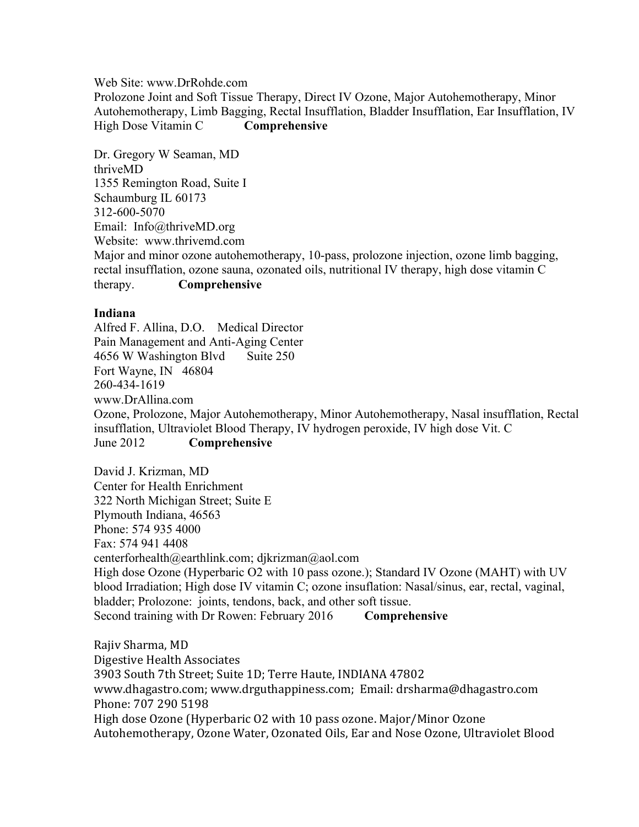Web Site: www.DrRohde.com

Prolozone Joint and Soft Tissue Therapy, Direct IV Ozone, Major Autohemotherapy, Minor Autohemotherapy, Limb Bagging, Rectal Insufflation, Bladder Insufflation, Ear Insufflation, IV High Dose Vitamin C **Comprehensive**

Dr. Gregory W Seaman, MD thriveMD 1355 Remington Road, Suite I Schaumburg IL 60173 312-600-5070 Email: Info@thriveMD.org Website: www.thrivemd.com Major and minor ozone autohemotherapy, 10-pass, prolozone injection, ozone limb bagging, rectal insufflation, ozone sauna, ozonated oils, nutritional IV therapy, high dose vitamin C therapy. **Comprehensive**

## **Indiana**

Alfred F. Allina, D.O. Medical Director Pain Management and Anti-Aging Center 4656 W Washington Blvd Suite 250 Fort Wayne, IN 46804 260-434-1619 www.DrAllina.com Ozone, Prolozone, Major Autohemotherapy, Minor Autohemotherapy, Nasal insufflation, Rectal insufflation, Ultraviolet Blood Therapy, IV hydrogen peroxide, IV high dose Vit. C June 2012 **Comprehensive**

David J. Krizman, MD Center for Health Enrichment 322 North Michigan Street; Suite E Plymouth Indiana, 46563 Phone: 574 935 4000 Fax: 574 941 4408 centerforhealth@earthlink.com; djkrizman@aol.com High dose Ozone (Hyperbaric O2 with 10 pass ozone.); Standard IV Ozone (MAHT) with UV blood Irradiation; High dose IV vitamin C; ozone insuflation: Nasal/sinus, ear, rectal, vaginal, bladder; Prolozone: joints, tendons, back, and other soft tissue. Second training with Dr Rowen: February 2016 Comprehensive

Rajiv Sharma, MD Digestive Health Associates 3903 South 7th Street; Suite 1D; Terre Haute, INDIANA 47802 www.dhagastro.com; www.drguthappiness.com; Email: drsharma@dhagastro.com Phone: 707 290 5198 High dose Ozone (Hyperbaric O2 with 10 pass ozone. Major/Minor Ozone Autohemotherapy, Ozone Water, Ozonated Oils, Ear and Nose Ozone, Ultraviolet Blood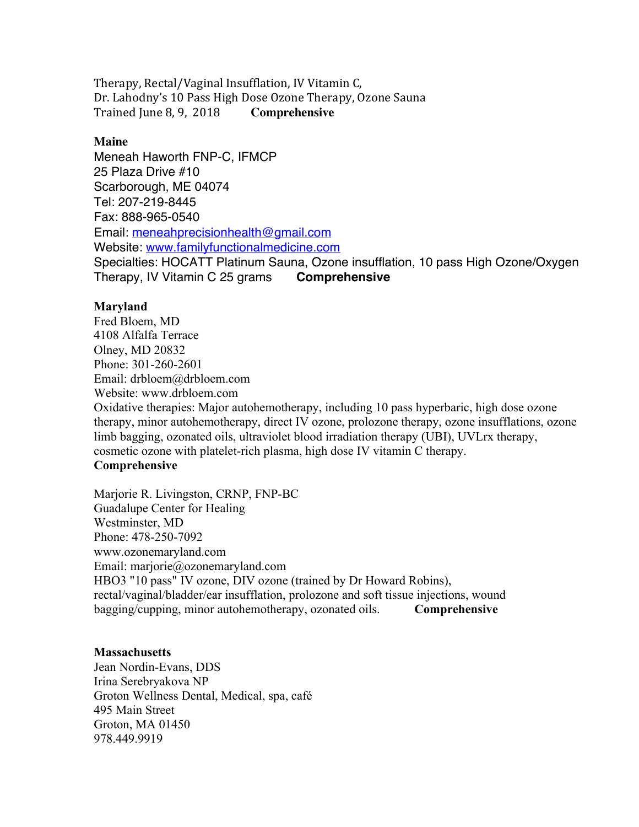Therapy, Rectal/Vaginal Insufflation, IV Vitamin C, Dr. Lahodny's 10 Pass High Dose Ozone Therapy, Ozone Sauna Trained June 8, 9, 2018 Comprehensive

#### **Maine**

Meneah Haworth FNP-C, IFMCP 25 Plaza Drive #10 Scarborough, ME 04074 Tel: 207-219-8445 Fax: 888-965-0540 Email: meneahprecisionhealth@gmail.com Website: www.familyfunctionalmedicine.com Specialties: HOCATT Platinum Sauna, Ozone insufflation, 10 pass High Ozone/Oxygen Therapy, IV Vitamin C 25 grams **Comprehensive**

# **Maryland**

Fred Bloem, MD 4108 Alfalfa Terrace Olney, MD 20832 Phone: 301-260-2601 Email: drbloem@drbloem.com Website: www.drbloem.com Oxidative therapies: Major autohemotherapy, including 10 pass hyperbaric, high dose ozone therapy, minor autohemotherapy, direct IV ozone, prolozone therapy, ozone insufflations, ozone limb bagging, ozonated oils, ultraviolet blood irradiation therapy (UBI), UVLrx therapy, cosmetic ozone with platelet-rich plasma, high dose IV vitamin C therapy. **Comprehensive**

Marjorie R. Livingston, CRNP, FNP-BC Guadalupe Center for Healing Westminster, MD Phone: 478-250-7092 www.ozonemaryland.com Email: marjorie@ozonemaryland.com HBO3 "10 pass" IV ozone, DIV ozone (trained by Dr Howard Robins), rectal/vaginal/bladder/ear insufflation, prolozone and soft tissue injections, wound bagging/cupping, minor autohemotherapy, ozonated oils. **Comprehensive**

#### **Massachusetts**

Jean Nordin-Evans, DDS Irina Serebryakova NP Groton Wellness Dental, Medical, spa, café 495 Main Street Groton, MA 01450 978.449.9919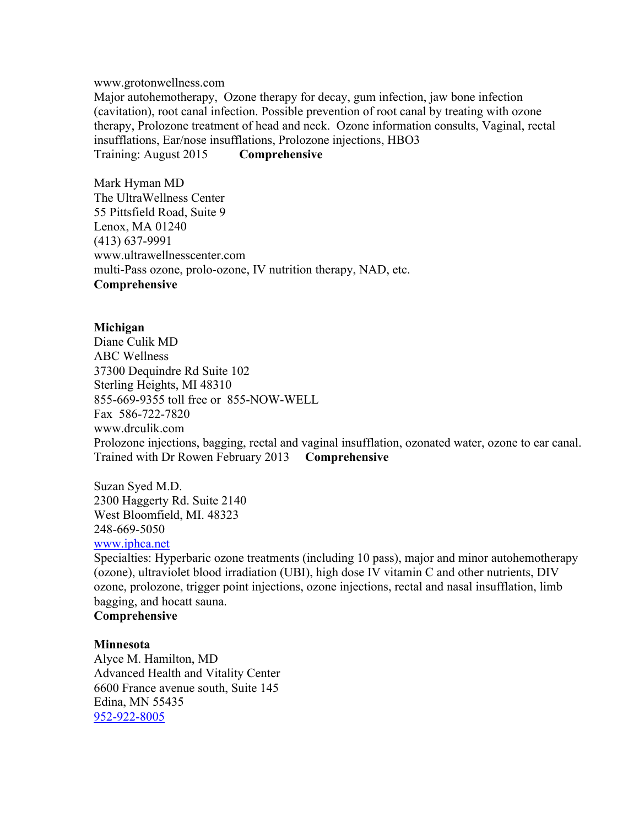www.grotonwellness.com

Major autohemotherapy, Ozone therapy for decay, gum infection, jaw bone infection (cavitation), root canal infection. Possible prevention of root canal by treating with ozone therapy, Prolozone treatment of head and neck. Ozone information consults, Vaginal, rectal insufflations, Ear/nose insufflations, Prolozone injections, HBO3 Training: August 2015 **Comprehensive**

Mark Hyman MD The UltraWellness Center 55 Pittsfield Road, Suite 9 Lenox, MA 01240 (413) 637-9991 www.ultrawellnesscenter.com multi-Pass ozone, prolo-ozone, IV nutrition therapy, NAD, etc. **Comprehensive**

# **Michigan**

Diane Culik MD ABC Wellness 37300 Dequindre Rd Suite 102 Sterling Heights, MI 48310 855-669-9355 toll free or 855-NOW-WELL Fax 586-722-7820 www.drculik.com Prolozone injections, bagging, rectal and vaginal insufflation, ozonated water, ozone to ear canal. Trained with Dr Rowen February 2013 **Comprehensive**

Suzan Syed M.D. 2300 Haggerty Rd. Suite 2140 West Bloomfield, MI. 48323 248-669-5050

## www.iphca.net

Specialties: Hyperbaric ozone treatments (including 10 pass), major and minor autohemotherapy (ozone), ultraviolet blood irradiation (UBI), high dose IV vitamin C and other nutrients, DIV ozone, prolozone, trigger point injections, ozone injections, rectal and nasal insufflation, limb bagging, and hocatt sauna.

# **Comprehensive**

#### **Minnesota**

Alyce M. Hamilton, MD Advanced Health and Vitality Center 6600 France avenue south, Suite 145 Edina, MN 55435 952-922-8005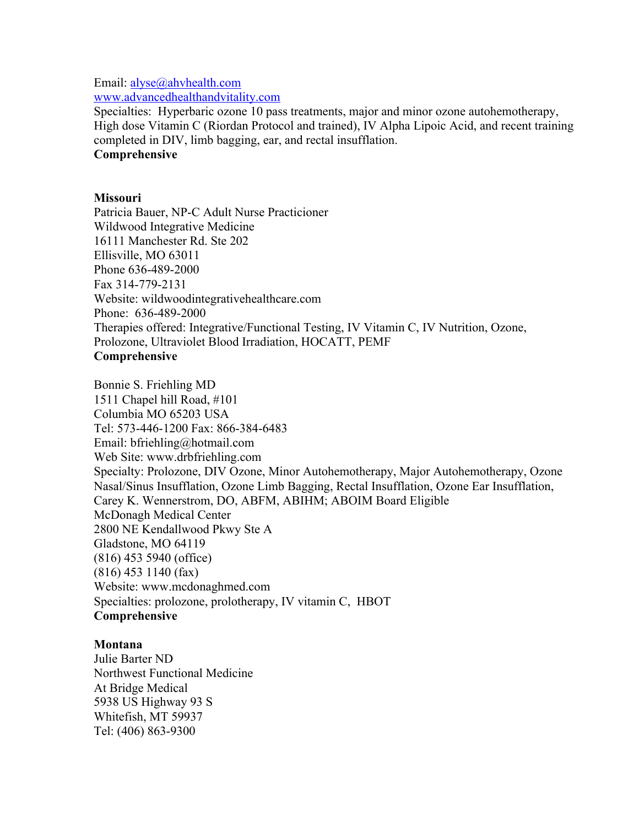#### Email: alyse@ahvhealth.com

www.advancedhealthandvitality.com

Specialties: Hyperbaric ozone 10 pass treatments, major and minor ozone autohemotherapy, High dose Vitamin C (Riordan Protocol and trained), IV Alpha Lipoic Acid, and recent training completed in DIV, limb bagging, ear, and rectal insufflation. **Comprehensive**

## **Missouri**

Patricia Bauer, NP-C Adult Nurse Practicioner Wildwood Integrative Medicine 16111 Manchester Rd. Ste 202 Ellisville, MO 63011 Phone 636-489-2000 Fax 314-779-2131 Website: wildwoodintegrativehealthcare.com Phone: 636-489-2000 Therapies offered: Integrative/Functional Testing, IV Vitamin C, IV Nutrition, Ozone, Prolozone, Ultraviolet Blood Irradiation, HOCATT, PEMF **Comprehensive**

Bonnie S. Friehling MD 1511 Chapel hill Road, #101 Columbia MO 65203 USA Tel: 573-446-1200 Fax: 866-384-6483 Email: bfriehling@hotmail.com Web Site: www.drbfriehling.com Specialty: Prolozone, DIV Ozone, Minor Autohemotherapy, Major Autohemotherapy, Ozone Nasal/Sinus Insufflation, Ozone Limb Bagging, Rectal Insufflation, Ozone Ear Insufflation, Carey K. Wennerstrom, DO, ABFM, ABIHM; ABOIM Board Eligible McDonagh Medical Center 2800 NE Kendallwood Pkwy Ste A Gladstone, MO 64119 (816) 453 5940 (office) (816) 453 1140 (fax) Website: www.mcdonaghmed.com Specialties: prolozone, prolotherapy, IV vitamin C, HBOT **Comprehensive**

# **Montana**

Julie Barter ND Northwest Functional Medicine At Bridge Medical 5938 US Highway 93 S Whitefish, MT 59937 Tel: (406) 863-9300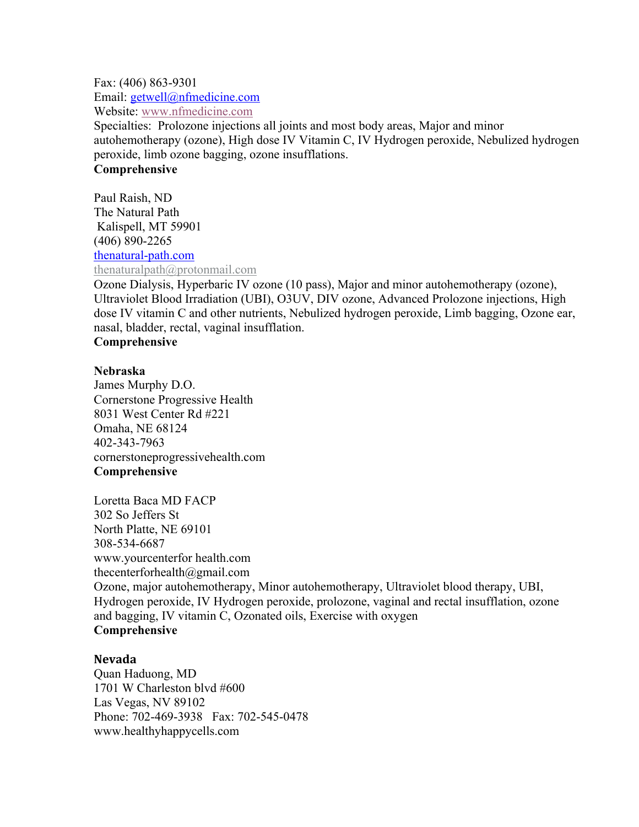Fax: (406) 863-9301 Email: getwell@nfmedicine.com Website: www.nfmedicine.com

Specialties: Prolozone injections all joints and most body areas, Major and minor autohemotherapy (ozone), High dose IV Vitamin C, IV Hydrogen peroxide, Nebulized hydrogen peroxide, limb ozone bagging, ozone insufflations.

# **Comprehensive**

Paul Raish, ND The Natural Path Kalispell, MT 59901 (406) 890-2265 thenatural-path.com thenaturalpath@protonmail.com

Ozone Dialysis, Hyperbaric IV ozone (10 pass), Major and minor autohemotherapy (ozone), Ultraviolet Blood Irradiation (UBI), O3UV, DIV ozone, Advanced Prolozone injections, High dose IV vitamin C and other nutrients, Nebulized hydrogen peroxide, Limb bagging, Ozone ear, nasal, bladder, rectal, vaginal insufflation.

# **Comprehensive**

# **Nebraska**

James Murphy D.O. Cornerstone Progressive Health 8031 West Center Rd #221 Omaha, NE 68124 402-343-7963 cornerstoneprogressivehealth.com **Comprehensive**

Loretta Baca MD FACP 302 So Jeffers St North Platte, NE 69101 308-534-6687 www.yourcenterfor health.com thecenterforhealth@gmail.com Ozone, major autohemotherapy, Minor autohemotherapy, Ultraviolet blood therapy, UBI, Hydrogen peroxide, IV Hydrogen peroxide, prolozone, vaginal and rectal insufflation, ozone and bagging, IV vitamin C, Ozonated oils, Exercise with oxygen **Comprehensive**

# **Nevada**

Quan Haduong, MD 1701 W Charleston blvd #600 Las Vegas, NV 89102 Phone: 702-469-3938 Fax: 702-545-0478 www.healthyhappycells.com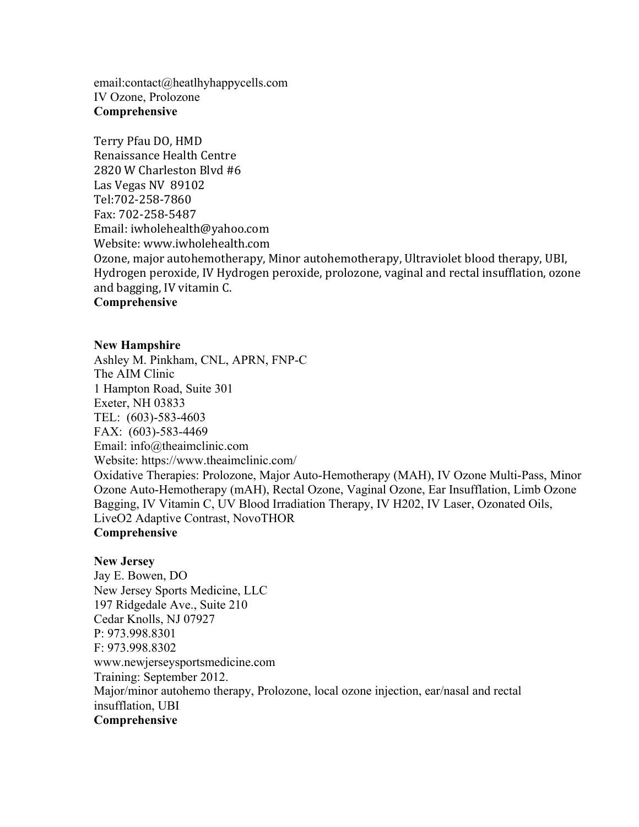email:contact@heatlhyhappycells.com IV Ozone, Prolozone **Comprehensive**

Terry Pfau DO, HMD Renaissance Health Centre 2820 W Charleston Blvd #6 Las Vegas NV 89102 Tel:702-258-7860 Fax: 702-258-5487 Email: iwholehealth@yahoo.com Website: www.iwholehealth.com Ozone, major autohemotherapy, Minor autohemotherapy, Ultraviolet blood therapy, UBI, Hydrogen peroxide, IV Hydrogen peroxide, prolozone, vaginal and rectal insufflation, ozone and bagging, IV vitamin C. **Comprehensive**

#### **New Hampshire**

Ashley M. Pinkham, CNL, APRN, FNP-C The AIM Clinic 1 Hampton Road, Suite 301 Exeter, NH 03833 TEL: (603)-583-4603 FAX: (603)-583-4469 Email: info@theaimclinic.com Website: https://www.theaimclinic.com/ Oxidative Therapies: Prolozone, Major Auto-Hemotherapy (MAH), IV Ozone Multi-Pass, Minor Ozone Auto-Hemotherapy (mAH), Rectal Ozone, Vaginal Ozone, Ear Insufflation, Limb Ozone Bagging, IV Vitamin C, UV Blood Irradiation Therapy, IV H202, IV Laser, Ozonated Oils, LiveO2 Adaptive Contrast, NovoTHOR **Comprehensive**

#### **New Jersey**

Jay E. Bowen, DO New Jersey Sports Medicine, LLC 197 Ridgedale Ave., Suite 210 Cedar Knolls, NJ 07927 P: 973.998.8301 F: 973.998.8302 www.newjerseysportsmedicine.com Training: September 2012. Major/minor autohemo therapy, Prolozone, local ozone injection, ear/nasal and rectal insufflation, UBI **Comprehensive**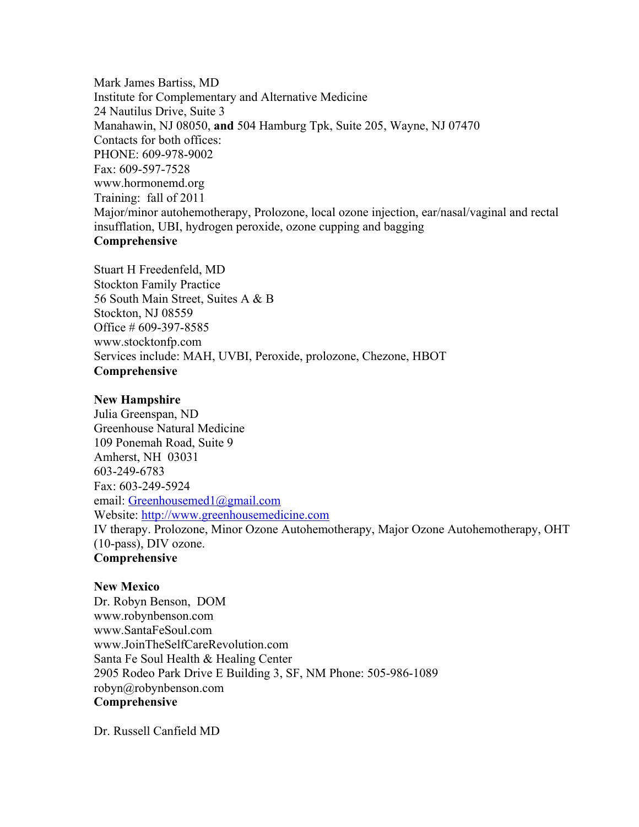Mark James Bartiss, MD Institute for Complementary and Alternative Medicine 24 Nautilus Drive, Suite 3 Manahawin, NJ 08050, **and** 504 Hamburg Tpk, Suite 205, Wayne, NJ 07470 Contacts for both offices: PHONE: 609-978-9002 Fax: 609-597-7528 www.hormonemd.org Training: fall of 2011 Major/minor autohemotherapy, Prolozone, local ozone injection, ear/nasal/vaginal and rectal insufflation, UBI, hydrogen peroxide, ozone cupping and bagging **Comprehensive**

Stuart H Freedenfeld, MD Stockton Family Practice 56 South Main Street, Suites A & B Stockton, NJ 08559 Office # 609-397-8585 www.stocktonfp.com Services include: MAH, UVBI, Peroxide, prolozone, Chezone, HBOT **Comprehensive**

## **New Hampshire**

Julia Greenspan, ND Greenhouse Natural Medicine 109 Ponemah Road, Suite 9 Amherst, NH 03031 603-249-6783 Fax: 603-249-5924 email: Greenhousemed1@gmail.com Website: http://www.greenhousemedicine.com IV therapy. Prolozone, Minor Ozone Autohemotherapy, Major Ozone Autohemotherapy, OHT (10-pass), DIV ozone. **Comprehensive**

**New Mexico** Dr. Robyn Benson, DOM www.robynbenson.com www.SantaFeSoul.com www.JoinTheSelfCareRevolution.com Santa Fe Soul Health & Healing Center 2905 Rodeo Park Drive E Building 3, SF, NM Phone: 505-986-1089 robyn@robynbenson.com **Comprehensive**

Dr. Russell Canfield MD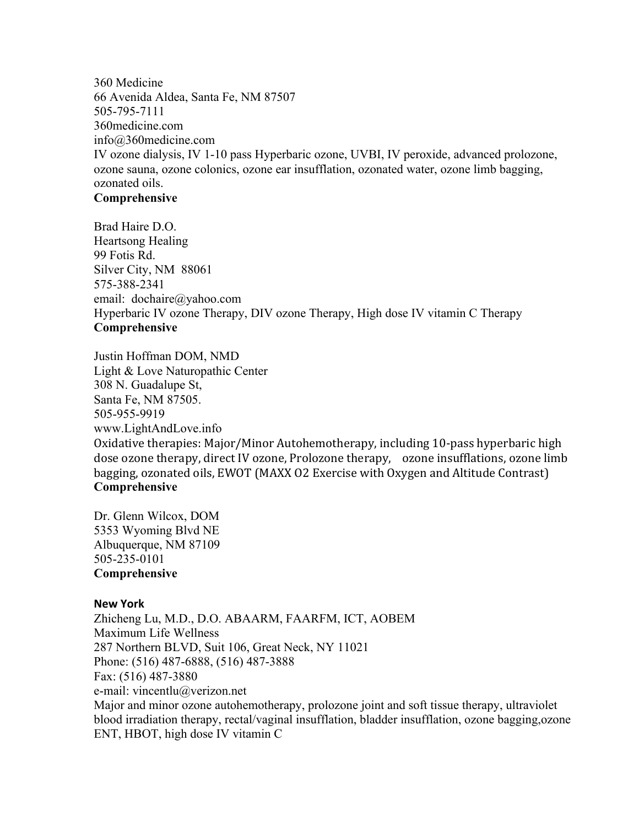360 Medicine 66 Avenida Aldea, Santa Fe, NM 87507 505-795-7111 360medicine.com info@360medicine.com IV ozone dialysis, IV 1-10 pass Hyperbaric ozone, UVBI, IV peroxide, advanced prolozone, ozone sauna, ozone colonics, ozone ear insufflation, ozonated water, ozone limb bagging, ozonated oils.

# **Comprehensive**

Brad Haire D.O. Heartsong Healing 99 Fotis Rd. Silver City, NM 88061 575-388-2341 email: dochaire@yahoo.com Hyperbaric IV ozone Therapy, DIV ozone Therapy, High dose IV vitamin C Therapy **Comprehensive**

Justin Hoffman DOM, NMD Light & Love Naturopathic Center 308 N. Guadalupe St, Santa Fe, NM 87505. 505-955-9919 www.LightAndLove.info Oxidative therapies: Major/Minor Autohemotherapy, including 10-pass hyperbaric high dose ozone therapy, direct IV ozone, Prolozone therapy, ozone insufflations, ozone limb bagging, ozonated oils, EWOT (MAXX O2 Exercise with Oxygen and Altitude Contrast) **Comprehensive**

Dr. Glenn Wilcox, DOM 5353 Wyoming Blvd NE Albuquerque, NM 87109 505-235-0101 **Comprehensive**

# **New York**

Zhicheng Lu, M.D., D.O. ABAARM, FAARFM, ICT, AOBEM Maximum Life Wellness 287 Northern BLVD, Suit 106, Great Neck, NY 11021 Phone: (516) 487-6888, (516) 487-3888 Fax: (516) 487-3880 e-mail: vincentlu@verizon.net Major and minor ozone autohemotherapy, prolozone joint and soft tissue therapy, ultraviolet blood irradiation therapy, rectal/vaginal insufflation, bladder insufflation, ozone bagging,ozone ENT, HBOT, high dose IV vitamin C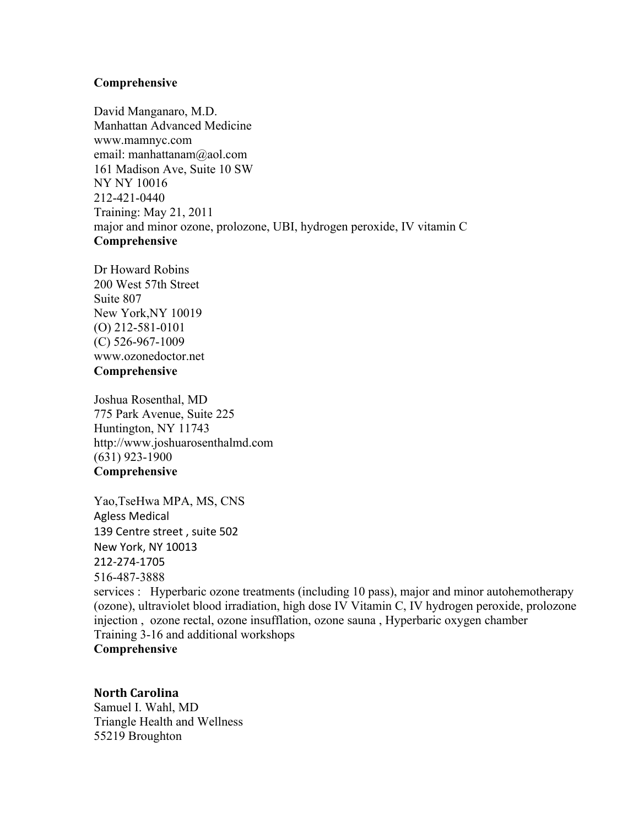# **Comprehensive**

David Manganaro, M.D. Manhattan Advanced Medicine www.mamnyc.com email: manhattanam@aol.com 161 Madison Ave, Suite 10 SW NY NY 10016 212-421-0440 Training: May 21, 2011 major and minor ozone, prolozone, UBI, hydrogen peroxide, IV vitamin C **Comprehensive**

Dr Howard Robins 200 West 57th Street Suite 807 New York,NY 10019 (O) 212-581-0101 (C) 526-967-1009 www.ozonedoctor.net **Comprehensive**

Joshua Rosenthal, MD 775 Park Avenue, Suite 225 Huntington, NY 11743 http://www.joshuarosenthalmd.com (631) 923-1900 **Comprehensive**

Yao,TseHwa MPA, MS, CNS Agless Medical 139 Centre street , suite 502 New York, NY 10013 212-274-1705 516-487-3888 services : Hyperbaric ozone treatments (including 10 pass), major and minor autohemotherapy (ozone), ultraviolet blood irradiation, high dose IV Vitamin C, IV hydrogen peroxide, prolozone injection , ozone rectal, ozone insufflation, ozone sauna , Hyperbaric oxygen chamber Training 3-16 and additional workshops **Comprehensive**

## **North Carolina** Samuel I. Wahl, MD Triangle Health and Wellness 55219 Broughton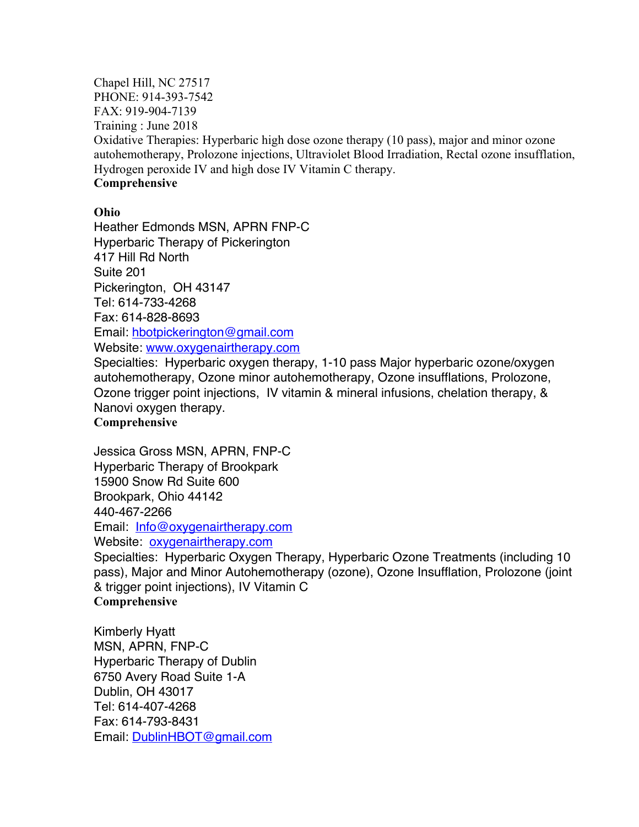Chapel Hill, NC 27517 PHONE: 914-393-7542 FAX: 919-904-7139 Training : June 2018 Oxidative Therapies: Hyperbaric high dose ozone therapy (10 pass), major and minor ozone autohemotherapy, Prolozone injections, Ultraviolet Blood Irradiation, Rectal ozone insufflation, Hydrogen peroxide IV and high dose IV Vitamin C therapy. **Comprehensive**

# **Ohio**

Heather Edmonds MSN, APRN FNP-C Hyperbaric Therapy of Pickerington 417 Hill Rd North Suite 201 Pickerington, OH 43147 Tel: 614-733-4268 Fax: 614-828-8693 Email: hbotpickerington@gmail.com Website: www.oxygenairtherapy.com

Specialties: Hyperbaric oxygen therapy, 1-10 pass Major hyperbaric ozone/oxygen autohemotherapy, Ozone minor autohemotherapy, Ozone insufflations, Prolozone, Ozone trigger point injections, IV vitamin & mineral infusions, chelation therapy, & Nanovi oxygen therapy.

# **Comprehensive**

Jessica Gross MSN, APRN, FNP-C Hyperbaric Therapy of Brookpark 15900 Snow Rd Suite 600 Brookpark, Ohio 44142 440-467-2266 Email: Info@oxygenairtherapy.com

Website: <u>oxygenairtherapy.com</u>

Specialties: Hyperbaric Oxygen Therapy, Hyperbaric Ozone Treatments (including 10 pass), Major and Minor Autohemotherapy (ozone), Ozone Insufflation, Prolozone (joint & trigger point injections), IV Vitamin C **Comprehensive**

Kimberly Hyatt MSN, APRN, FNP-C Hyperbaric Therapy of Dublin 6750 Avery Road Suite 1-A Dublin, OH 43017 Tel: 614-407-4268 Fax: 614-793-8431 Email: DublinHBOT@gmail.com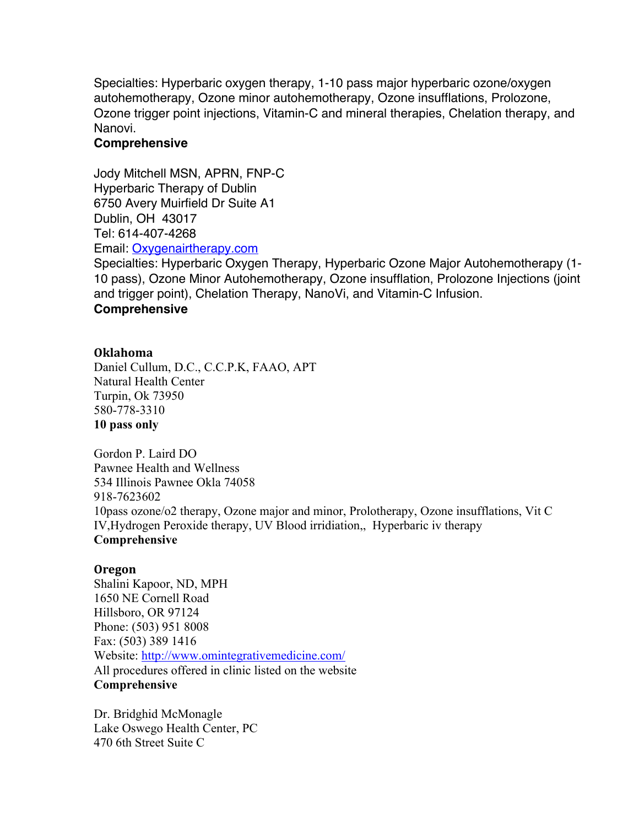Specialties: Hyperbaric oxygen therapy, 1-10 pass major hyperbaric ozone/oxygen autohemotherapy, Ozone minor autohemotherapy, Ozone insufflations, Prolozone, Ozone trigger point injections, Vitamin-C and mineral therapies, Chelation therapy, and Nanovi.

# **Comprehensive**

Jody Mitchell MSN, APRN, FNP-C Hyperbaric Therapy of Dublin 6750 Avery Muirfield Dr Suite A1 Dublin, OH 43017 Tel: 614-407-4268 Email: Oxygenairtherapy.com

Specialties: Hyperbaric Oxygen Therapy, Hyperbaric Ozone Major Autohemotherapy (1- 10 pass), Ozone Minor Autohemotherapy, Ozone insufflation, Prolozone Injections (joint and trigger point), Chelation Therapy, NanoVi, and Vitamin-C Infusion.

# **Comprehensive**

# **Oklahoma**

Daniel Cullum, D.C., C.C.P.K, FAAO, APT Natural Health Center Turpin, Ok 73950 580-778-3310 **10 pass only**

Gordon P. Laird DO Pawnee Health and Wellness 534 Illinois Pawnee Okla 74058 918-7623602 10pass ozone/o2 therapy, Ozone major and minor, Prolotherapy, Ozone insufflations, Vit C IV,Hydrogen Peroxide therapy, UV Blood irridiation,, Hyperbaric iv therapy **Comprehensive**

# **Oregon**

Shalini Kapoor, ND, MPH 1650 NE Cornell Road Hillsboro, OR 97124 Phone: (503) 951 8008 Fax: (503) 389 1416 Website: http://www.omintegrativemedicine.com/ All procedures offered in clinic listed on the website **Comprehensive**

Dr. Bridghid McMonagle Lake Oswego Health Center, PC 470 6th Street Suite C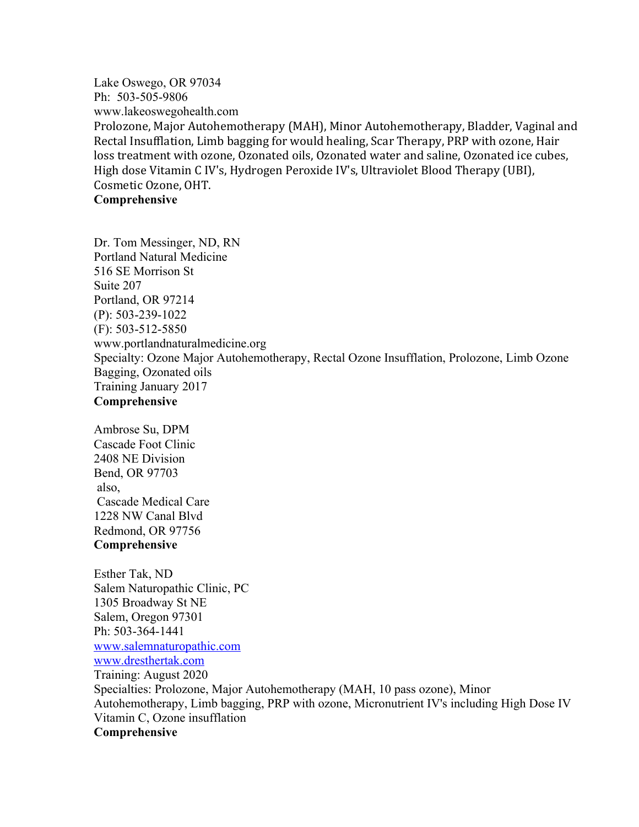Lake Oswego, OR 97034 Ph: 503-505-9806 www.lakeoswegohealth.com Prolozone, Major Autohemotherapy (MAH), Minor Autohemotherapy, Bladder, Vaginal and Rectal Insufflation, Limb bagging for would healing, Scar Therapy, PRP with ozone, Hair loss treatment with ozone, Ozonated oils, Ozonated water and saline, Ozonated ice cubes, High dose Vitamin C IV's, Hydrogen Peroxide IV's, Ultraviolet Blood Therapy (UBI), Cosmetic Ozone, OHT. **Comprehensive**

Dr. Tom Messinger, ND, RN Portland Natural Medicine 516 SE Morrison St Suite 207 Portland, OR 97214 (P): 503-239-1022 (F): 503-512-5850 www.portlandnaturalmedicine.org Specialty: Ozone Major Autohemotherapy, Rectal Ozone Insufflation, Prolozone, Limb Ozone Bagging, Ozonated oils Training January 2017 **Comprehensive**

Ambrose Su, DPM Cascade Foot Clinic 2408 NE Division Bend, OR 97703 also, Cascade Medical Care 1228 NW Canal Blvd Redmond, OR 97756 **Comprehensive**

Esther Tak, ND Salem Naturopathic Clinic, PC 1305 Broadway St NE Salem, Oregon 97301 Ph: 503-364-1441 www.salemnaturopathic.com www.dresthertak.com Training: August 2020 Specialties: Prolozone, Major Autohemotherapy (MAH, 10 pass ozone), Minor Autohemotherapy, Limb bagging, PRP with ozone, Micronutrient IV's including High Dose IV Vitamin C, Ozone insufflation **Comprehensive**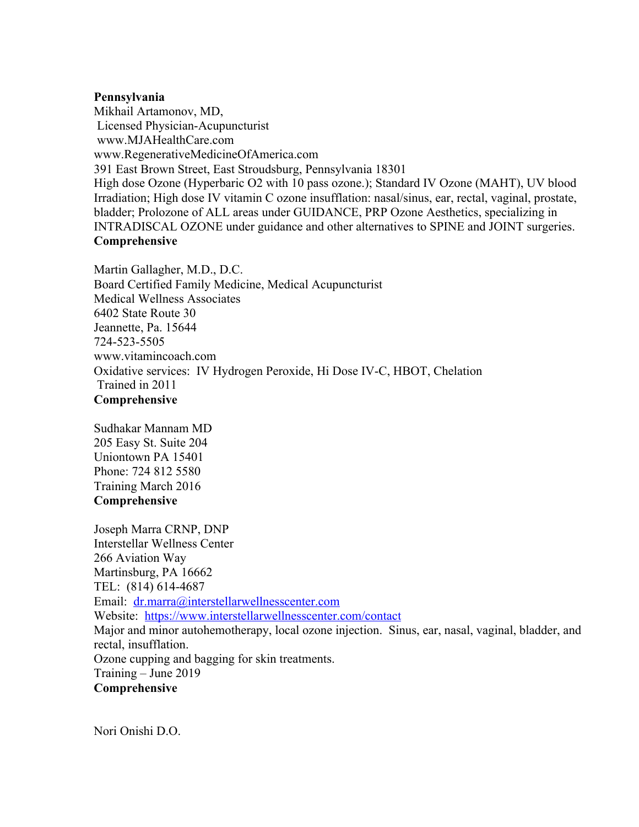#### **Pennsylvania**

Mikhail Artamonov, MD, Licensed Physician-Acupuncturist www.MJAHealthCare.com www.RegenerativeMedicineOfAmerica.com 391 East Brown Street, East Stroudsburg, Pennsylvania 18301 High dose Ozone (Hyperbaric O2 with 10 pass ozone.); Standard IV Ozone (MAHT), UV blood Irradiation; High dose IV vitamin C ozone insufflation: nasal/sinus, ear, rectal, vaginal, prostate, bladder; Prolozone of ALL areas under GUIDANCE, PRP Ozone Aesthetics, specializing in INTRADISCAL OZONE under guidance and other alternatives to SPINE and JOINT surgeries. **Comprehensive**

Martin Gallagher, M.D., D.C. Board Certified Family Medicine, Medical Acupuncturist Medical Wellness Associates 6402 State Route 30 Jeannette, Pa. 15644 724-523-5505 www.vitamincoach.com Oxidative services: IV Hydrogen Peroxide, Hi Dose IV-C, HBOT, Chelation Trained in 2011 **Comprehensive**

Sudhakar Mannam MD 205 Easy St. Suite 204 Uniontown PA 15401 Phone: 724 812 5580 Training March 2016 **Comprehensive**

Joseph Marra CRNP, DNP Interstellar Wellness Center 266 Aviation Way Martinsburg, PA 16662 TEL: (814) 614-4687 Email: dr.marra@interstellarwellnesscenter.com Website: https://www.interstellarwellnesscenter.com/contact Major and minor autohemotherapy, local ozone injection. Sinus, ear, nasal, vaginal, bladder, and rectal, insufflation. Ozone cupping and bagging for skin treatments. Training – June 2019 **Comprehensive**

Nori Onishi D.O.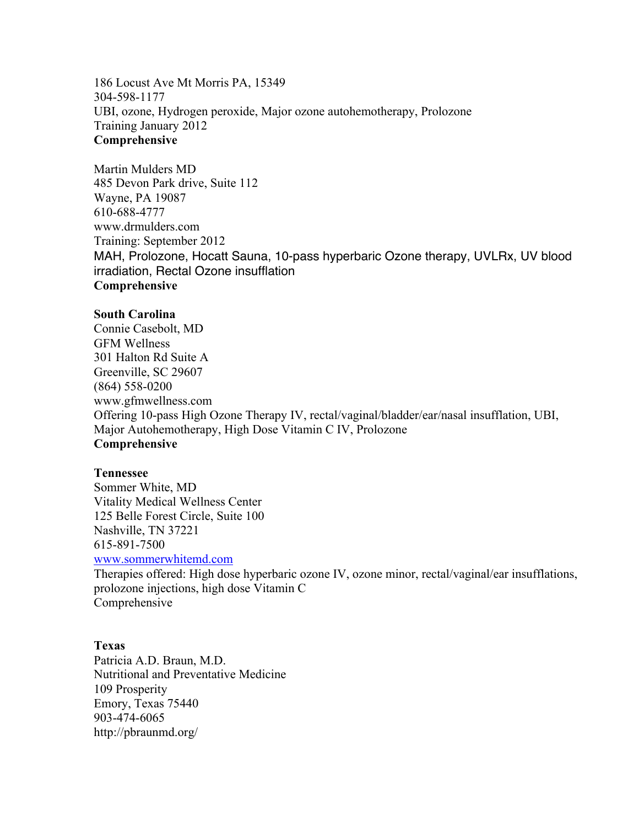186 Locust Ave Mt Morris PA, 15349 304-598-1177 UBI, ozone, Hydrogen peroxide, Major ozone autohemotherapy, Prolozone Training January 2012 **Comprehensive**

Martin Mulders MD 485 Devon Park drive, Suite 112 Wayne, PA 19087 610-688-4777 www.drmulders.com Training: September 2012 MAH, Prolozone, Hocatt Sauna, 10-pass hyperbaric Ozone therapy, UVLRx, UV blood irradiation, Rectal Ozone insufflation **Comprehensive**

## **South Carolina**

Connie Casebolt, MD GFM Wellness 301 Halton Rd Suite A Greenville, SC 29607 (864) 558-0200 www.gfmwellness.com Offering 10-pass High Ozone Therapy IV, rectal/vaginal/bladder/ear/nasal insufflation, UBI, Major Autohemotherapy, High Dose Vitamin C IV, Prolozone **Comprehensive**

#### **Tennessee**

Sommer White, MD Vitality Medical Wellness Center 125 Belle Forest Circle, Suite 100 Nashville, TN 37221 615-891-7500

www.sommerwhitemd.com

Therapies offered: High dose hyperbaric ozone IV, ozone minor, rectal/vaginal/ear insufflations, prolozone injections, high dose Vitamin C Comprehensive

#### **Texas**

Patricia A.D. Braun, M.D. Nutritional and Preventative Medicine 109 Prosperity Emory, Texas 75440 903-474-6065 http://pbraunmd.org/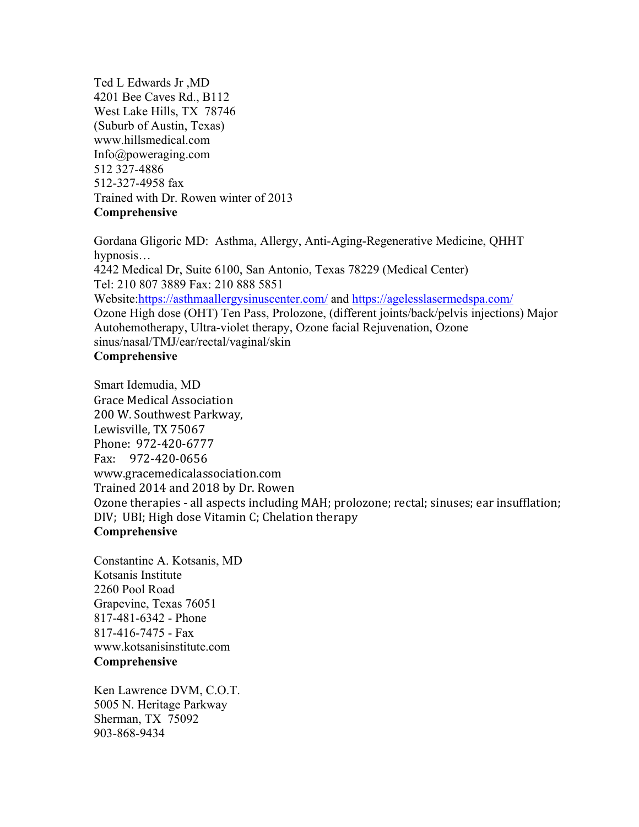Ted L Edwards Jr ,MD 4201 Bee Caves Rd., B112 West Lake Hills, TX 78746 (Suburb of Austin, Texas) www.hillsmedical.com Info@poweraging.com 512 327-4886 512-327-4958 fax Trained with Dr. Rowen winter of 2013 **Comprehensive**

Gordana Gligoric MD: Asthma, Allergy, Anti-Aging-Regenerative Medicine, QHHT hypnosis… 4242 Medical Dr, Suite 6100, San Antonio, Texas 78229 (Medical Center) Tel: 210 807 3889 Fax: 210 888 5851 Website:https://asthmaallergysinuscenter.com/ and https://agelesslasermedspa.com/ Ozone High dose (OHT) Ten Pass, Prolozone, (different joints/back/pelvis injections) Major Autohemotherapy, Ultra-violet therapy, Ozone facial Rejuvenation, Ozone sinus/nasal/TMJ/ear/rectal/vaginal/skin **Comprehensive**

Smart Idemudia, MD Grace Medical Association 200 W. Southwest Parkway, Lewisville, TX 75067 Phone: 972-420-6777 Fax: 972-420-0656 www.gracemedicalassociation.com Trained 2014 and 2018 by Dr. Rowen Ozone therapies - all aspects including MAH; prolozone; rectal; sinuses; ear insufflation; DIV; UBI; High dose Vitamin C; Chelation therapy **Comprehensive**

Constantine A. Kotsanis, MD Kotsanis Institute 2260 Pool Road Grapevine, Texas 76051 817-481-6342 - Phone 817-416-7475 - Fax www.kotsanisinstitute.com **Comprehensive**

Ken Lawrence DVM, C.O.T. 5005 N. Heritage Parkway Sherman, TX 75092 903-868-9434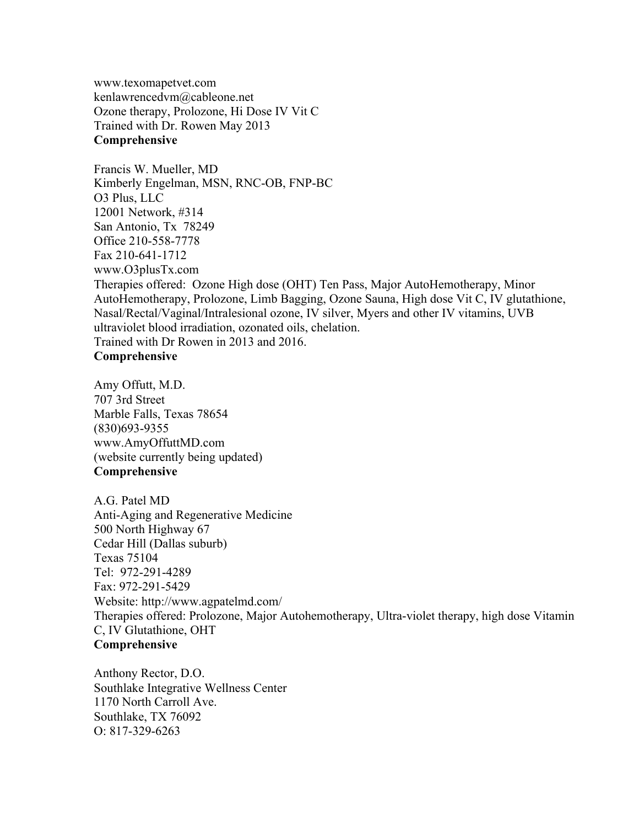www.texomapetvet.com kenlawrencedvm@cableone.net Ozone therapy, Prolozone, Hi Dose IV Vit C Trained with Dr. Rowen May 2013 **Comprehensive**

Francis W. Mueller, MD Kimberly Engelman, MSN, RNC-OB, FNP-BC O3 Plus, LLC 12001 Network, #314 San Antonio, Tx 78249 Office 210-558-7778 Fax 210-641-1712 www.O3plusTx.com Therapies offered: Ozone High dose (OHT) Ten Pass, Major AutoHemotherapy, Minor AutoHemotherapy, Prolozone, Limb Bagging, Ozone Sauna, High dose Vit C, IV glutathione, Nasal/Rectal/Vaginal/Intralesional ozone, IV silver, Myers and other IV vitamins, UVB ultraviolet blood irradiation, ozonated oils, chelation. Trained with Dr Rowen in 2013 and 2016. **Comprehensive**

Amy Offutt, M.D. 707 3rd Street Marble Falls, Texas 78654 (830)693-9355 www.AmyOffuttMD.com (website currently being updated) **Comprehensive**

A.G. Patel MD Anti-Aging and Regenerative Medicine 500 North Highway 67 Cedar Hill (Dallas suburb) Texas 75104 Tel: 972-291-4289 Fax: 972-291-5429 Website: http://www.agpatelmd.com/ Therapies offered: Prolozone, Major Autohemotherapy, Ultra-violet therapy, high dose Vitamin C, IV Glutathione, OHT **Comprehensive**

Anthony Rector, D.O. Southlake Integrative Wellness Center 1170 North Carroll Ave. Southlake, TX 76092 O: 817-329-6263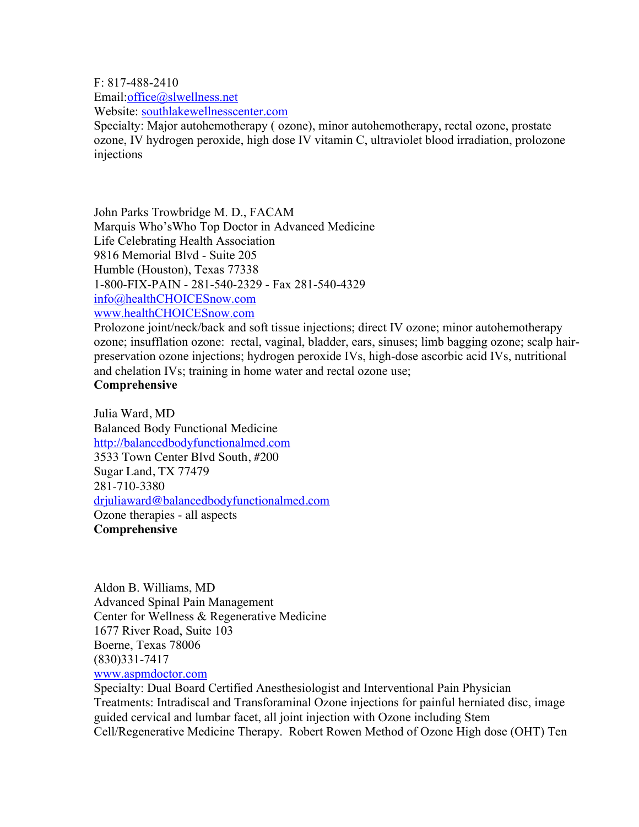F: 817-488-2410

Email:office@slwellness.net

Website: southlakewellnesscenter.com

Specialty: Major autohemotherapy ( ozone), minor autohemotherapy, rectal ozone, prostate ozone, IV hydrogen peroxide, high dose IV vitamin C, ultraviolet blood irradiation, prolozone injections

John Parks Trowbridge M. D., FACAM Marquis Who'sWho Top Doctor in Advanced Medicine Life Celebrating Health Association 9816 Memorial Blvd - Suite 205 Humble (Houston), Texas 77338 1-800-FIX-PAIN - 281-540-2329 - Fax 281-540-4329 info@healthCHOICESnow.com www.healthCHOICESnow.com

Prolozone joint/neck/back and soft tissue injections; direct IV ozone; minor autohemotherapy ozone; insufflation ozone: rectal, vaginal, bladder, ears, sinuses; limb bagging ozone; scalp hairpreservation ozone injections; hydrogen peroxide IVs, high-dose ascorbic acid IVs, nutritional and chelation IVs; training in home water and rectal ozone use; **Comprehensive**

Julia Ward, MD Balanced Body Functional Medicine http://balancedbodyfunctionalmed.com 3533 Town Center Blvd South, #200 Sugar Land, TX 77479 281-710-3380 drjuliaward@balancedbodyfunctionalmed.com Ozone therapies - all aspects **Comprehensive**

Aldon B. Williams, MD Advanced Spinal Pain Management Center for Wellness & Regenerative Medicine 1677 River Road, Suite 103 Boerne, Texas 78006 (830)331-7417

# www.aspmdoctor.com

Specialty: Dual Board Certified Anesthesiologist and Interventional Pain Physician Treatments: Intradiscal and Transforaminal Ozone injections for painful herniated disc, image guided cervical and lumbar facet, all joint injection with Ozone including Stem Cell/Regenerative Medicine Therapy. Robert Rowen Method of Ozone High dose (OHT) Ten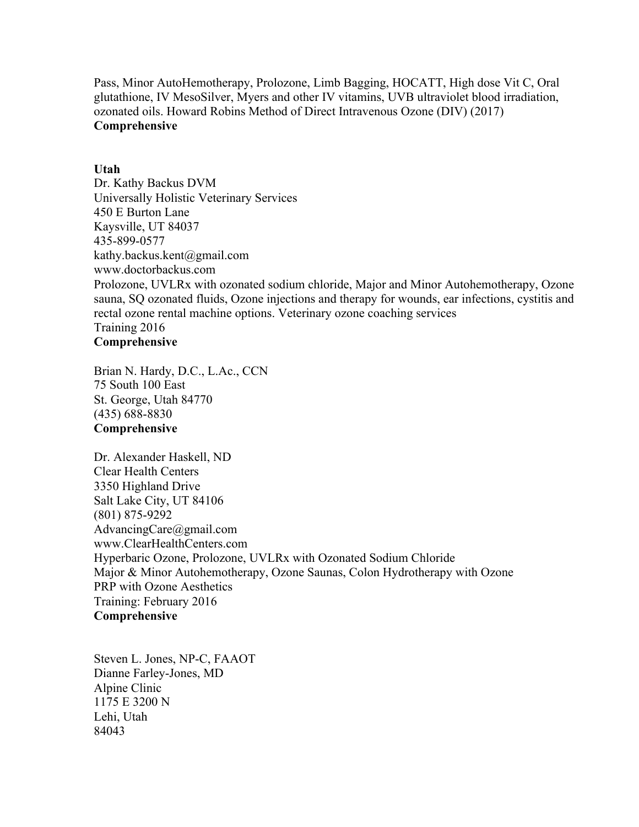Pass, Minor AutoHemotherapy, Prolozone, Limb Bagging, HOCATT, High dose Vit C, Oral glutathione, IV MesoSilver, Myers and other IV vitamins, UVB ultraviolet blood irradiation, ozonated oils. Howard Robins Method of Direct Intravenous Ozone (DIV) (2017) **Comprehensive**

# **Utah**

Dr. Kathy Backus DVM Universally Holistic Veterinary Services 450 E Burton Lane Kaysville, UT 84037 435-899-0577 kathy.backus.kent@gmail.com www.doctorbackus.com Prolozone, UVLRx with ozonated sodium chloride, Major and Minor Autohemotherapy, Ozone sauna, SQ ozonated fluids, Ozone injections and therapy for wounds, ear infections, cystitis and rectal ozone rental machine options. Veterinary ozone coaching services Training 2016 **Comprehensive**

Brian N. Hardy, D.C., L.Ac., CCN 75 South 100 East St. George, Utah 84770 (435) 688-8830 **Comprehensive**

Dr. Alexander Haskell, ND Clear Health Centers 3350 Highland Drive Salt Lake City, UT 84106 (801) 875-9292 AdvancingCare@gmail.com www.ClearHealthCenters.com Hyperbaric Ozone, Prolozone, UVLRx with Ozonated Sodium Chloride Major & Minor Autohemotherapy, Ozone Saunas, Colon Hydrotherapy with Ozone PRP with Ozone Aesthetics Training: February 2016 **Comprehensive**

Steven L. Jones, NP-C, FAAOT Dianne Farley-Jones, MD Alpine Clinic 1175 E 3200 N Lehi, Utah 84043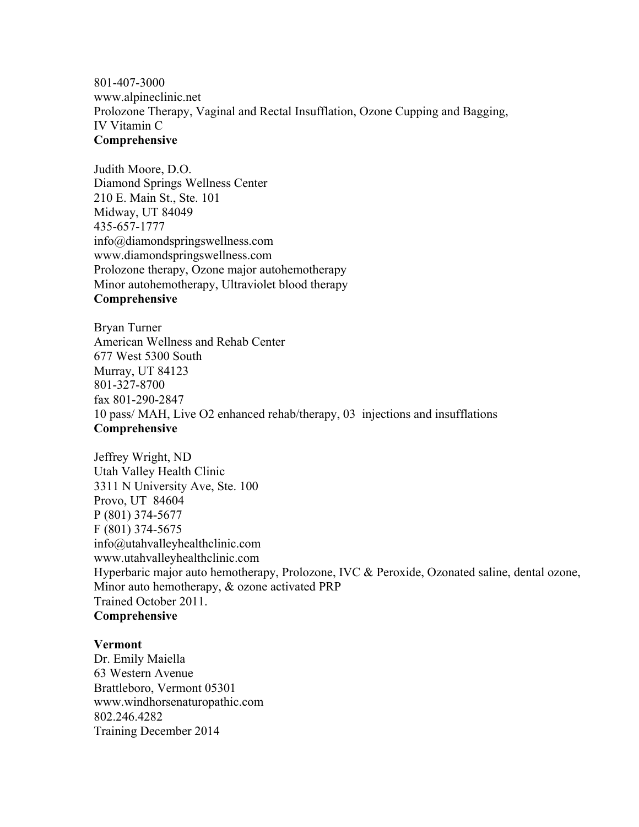801-407-3000 www.alpineclinic.net Prolozone Therapy, Vaginal and Rectal Insufflation, Ozone Cupping and Bagging, IV Vitamin C **Comprehensive**

Judith Moore, D.O. Diamond Springs Wellness Center 210 E. Main St., Ste. 101 Midway, UT 84049 435-657-1777 info@diamondspringswellness.com www.diamondspringswellness.com Prolozone therapy, Ozone major autohemotherapy Minor autohemotherapy, Ultraviolet blood therapy **Comprehensive**

Bryan Turner American Wellness and Rehab Center 677 West 5300 South Murray, UT 84123 801-327-8700 fax 801-290-2847 10 pass/ MAH, Live O2 enhanced rehab/therapy, 03 injections and insufflations **Comprehensive**

Jeffrey Wright, ND Utah Valley Health Clinic 3311 N University Ave, Ste. 100 Provo, UT 84604 P (801) 374-5677 F (801) 374-5675 info@utahvalleyhealthclinic.com www.utahvalleyhealthclinic.com Hyperbaric major auto hemotherapy, Prolozone, IVC & Peroxide, Ozonated saline, dental ozone, Minor auto hemotherapy, & ozone activated PRP Trained October 2011. **Comprehensive**

#### **Vermont**

Dr. Emily Maiella 63 Western Avenue Brattleboro, Vermont 05301 www.windhorsenaturopathic.com 802.246.4282 Training December 2014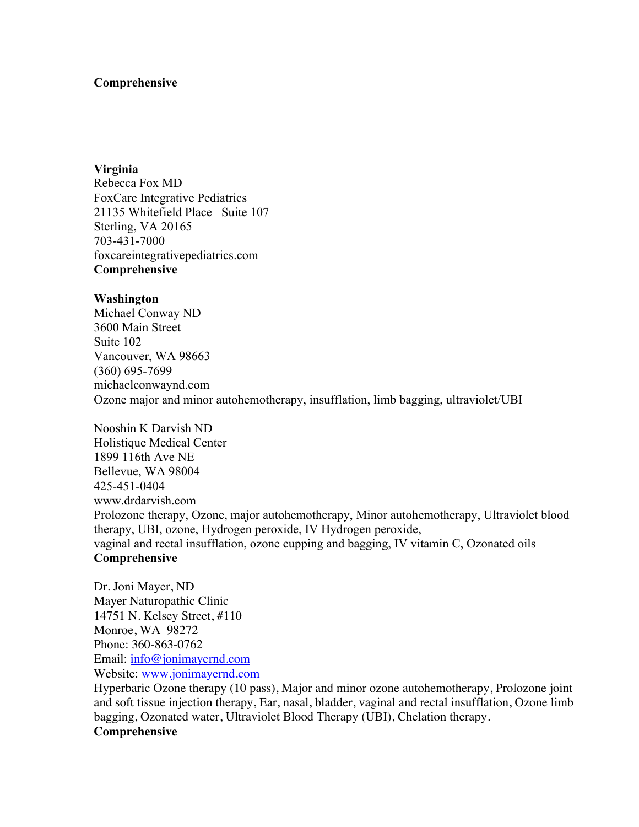# **Comprehensive**

**Virginia** Rebecca Fox MD FoxCare Integrative Pediatrics 21135 Whitefield Place Suite 107 Sterling, VA 20165 703-431-7000 foxcareintegrativepediatrics.com **Comprehensive**

#### **Washington**

Michael Conway ND 3600 Main Street Suite 102 Vancouver, WA 98663 (360) 695-7699 michaelconwaynd.com Ozone major and minor autohemotherapy, insufflation, limb bagging, ultraviolet/UBI

Nooshin K Darvish ND Holistique Medical Center 1899 116th Ave NE Bellevue, WA 98004 425-451-0404 www.drdarvish.com Prolozone therapy, Ozone, major autohemotherapy, Minor autohemotherapy, Ultraviolet blood therapy, UBI, ozone, Hydrogen peroxide, IV Hydrogen peroxide, vaginal and rectal insufflation, ozone cupping and bagging, IV vitamin C, Ozonated oils **Comprehensive**

Dr. Joni Mayer, ND Mayer Naturopathic Clinic 14751 N. Kelsey Street, #110 Monroe, WA 98272 Phone: 360-863-0762 Email: info@jonimayernd.com Website: www.jonimayernd.com

Hyperbaric Ozone therapy (10 pass), Major and minor ozone autohemotherapy, Prolozone joint and soft tissue injection therapy, Ear, nasal, bladder, vaginal and rectal insufflation, Ozone limb bagging, Ozonated water, Ultraviolet Blood Therapy (UBI), Chelation therapy. **Comprehensive**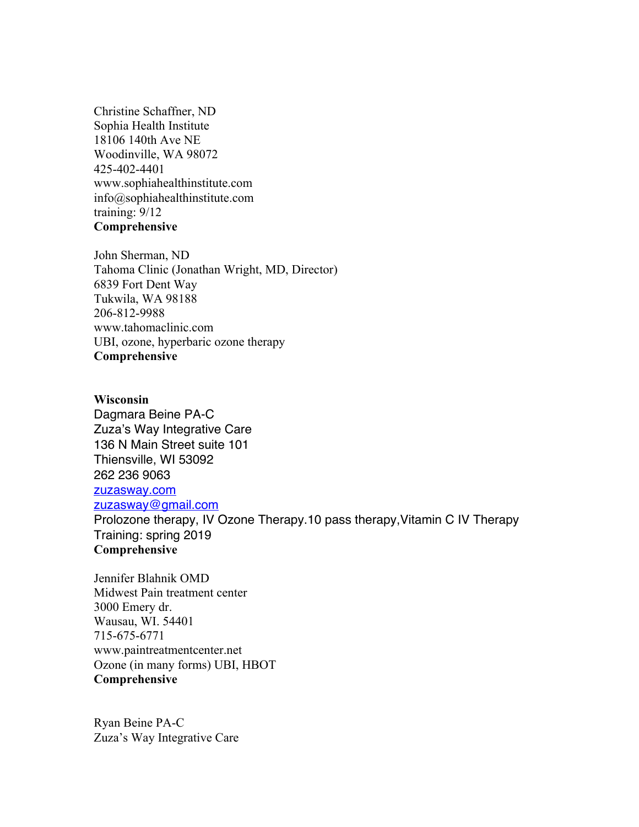Christine Schaffner, ND Sophia Health Institute 18106 140th Ave NE Woodinville, WA 98072 425-402-4401 www.sophiahealthinstitute.com info@sophiahealthinstitute.com training: 9/12 **Comprehensive**

John Sherman, ND Tahoma Clinic (Jonathan Wright, MD, Director) 6839 Fort Dent Way Tukwila, WA 98188 206-812-9988 www.tahomaclinic.com UBI, ozone, hyperbaric ozone therapy **Comprehensive**

**Wisconsin** Dagmara Beine PA-C Zuza's Way Integrative Care 136 N Main Street suite 101 Thiensville, WI 53092 262 236 9063 zuzasway.com zuzasway@gmail.com Prolozone therapy, IV Ozone Therapy.10 pass therapy,Vitamin C IV Therapy Training: spring 2019 **Comprehensive**

Jennifer Blahnik OMD Midwest Pain treatment center 3000 Emery dr. Wausau, WI. 54401 715-675-6771 www.paintreatmentcenter.net Ozone (in many forms) UBI, HBOT **Comprehensive**

Ryan Beine PA-C Zuza's Way Integrative Care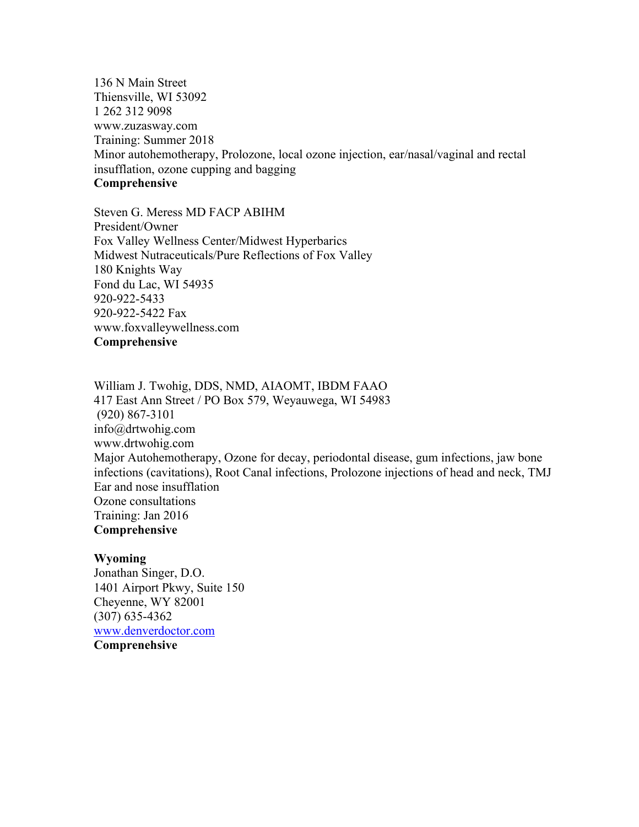136 N Main Street Thiensville, WI 53092 1 262 312 9098 www.zuzasway.com Training: Summer 2018 Minor autohemotherapy, Prolozone, local ozone injection, ear/nasal/vaginal and rectal insufflation, ozone cupping and bagging **Comprehensive**

Steven G. Meress MD FACP ABIHM President/Owner Fox Valley Wellness Center/Midwest Hyperbarics Midwest Nutraceuticals/Pure Reflections of Fox Valley 180 Knights Way Fond du Lac, WI 54935 920-922-5433 920-922-5422 Fax www.foxvalleywellness.com **Comprehensive**

William J. Twohig, DDS, NMD, AIAOMT, IBDM FAAO 417 East Ann Street / PO Box 579, Weyauwega, WI 54983 (920) 867-3101 info@drtwohig.com www.drtwohig.com Major Autohemotherapy, Ozone for decay, periodontal disease, gum infections, jaw bone infections (cavitations), Root Canal infections, Prolozone injections of head and neck, TMJ Ear and nose insufflation Ozone consultations Training: Jan 2016 **Comprehensive**

#### **Wyoming**

Jonathan Singer, D.O. 1401 Airport Pkwy, Suite 150 Cheyenne, WY 82001 (307) 635-4362 www.denverdoctor.com **Comprenehsive**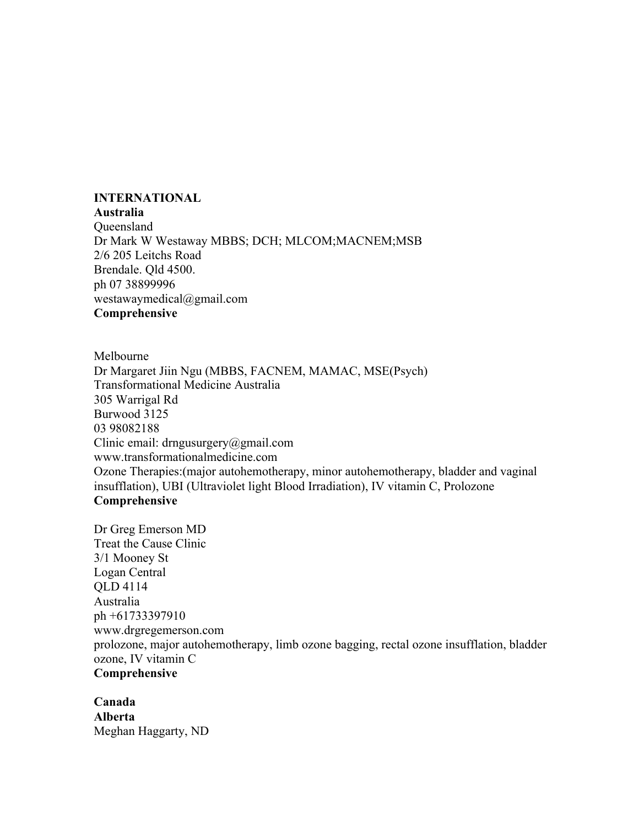# **INTERNATIONAL**

#### **Australia**

Queensland Dr Mark W Westaway MBBS; DCH; MLCOM;MACNEM;MSB 2/6 205 Leitchs Road Brendale. Qld 4500. ph 07 38899996 westawaymedical@gmail.com **Comprehensive**

Melbourne

Dr Margaret Jiin Ngu (MBBS, FACNEM, MAMAC, MSE(Psych) Transformational Medicine Australia 305 Warrigal Rd Burwood 3125 03 98082188 Clinic email: drngusurgery@gmail.com www.transformationalmedicine.com Ozone Therapies:(major autohemotherapy, minor autohemotherapy, bladder and vaginal insufflation), UBI (Ultraviolet light Blood Irradiation), IV vitamin C, Prolozone **Comprehensive**

Dr Greg Emerson MD Treat the Cause Clinic 3/1 Mooney St Logan Central QLD 4114 Australia ph +61733397910 www.drgregemerson.com prolozone, major autohemotherapy, limb ozone bagging, rectal ozone insufflation, bladder ozone, IV vitamin C **Comprehensive**

**Canada Alberta** Meghan Haggarty, ND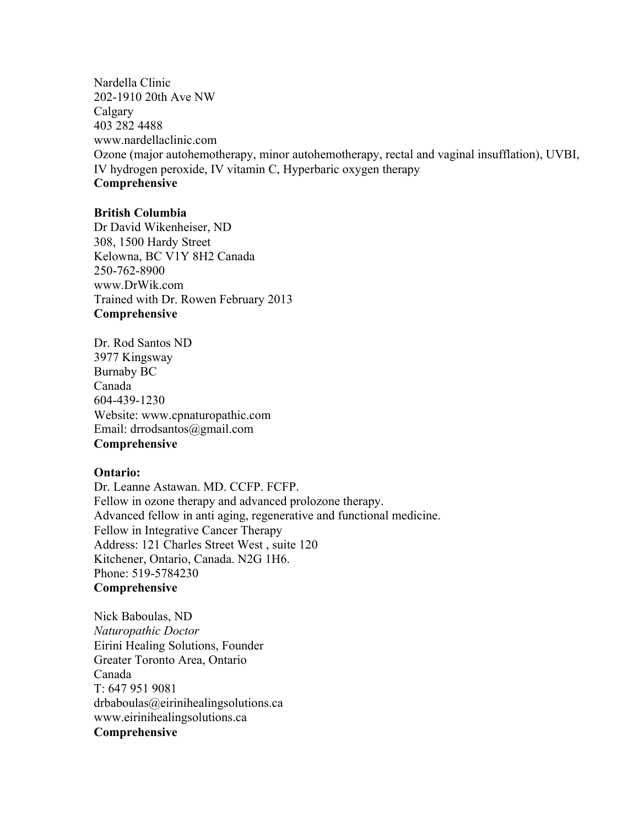Nardella Clinic 202-1910 20th Ave NW Calgary 403 282 4488 www.nardellaclinic.com Ozone (major autohemotherapy, minor autohemotherapy, rectal and vaginal insufflation), UVBI, IV hydrogen peroxide, IV vitamin C, Hyperbaric oxygen therapy **Comprehensive**

## **British Columbia**

Dr David Wikenheiser, ND 308, 1500 Hardy Street Kelowna, BC V1Y 8H2 Canada 250-762-8900 www.DrWik.com Trained with Dr. Rowen February 2013 **Comprehensive**

Dr. Rod Santos ND 3977 Kingsway Burnaby BC Canada 604-439-1230 Website: www.cpnaturopathic.com Email: drrodsantos@gmail.com **Comprehensive**

#### **Ontario:**

Dr. Leanne Astawan. MD. CCFP. FCFP. Fellow in ozone therapy and advanced prolozone therapy. Advanced fellow in anti aging, regenerative and functional medicine. Fellow in Integrative Cancer Therapy Address: 121 Charles Street West , suite 120 Kitchener, Ontario, Canada. N2G 1H6. Phone: 519-5784230 **Comprehensive**

Nick Baboulas, ND *Naturopathic Doctor* Eirini Healing Solutions, Founder Greater Toronto Area, Ontario Canada T: 647 951 9081 drbaboulas@eirinihealingsolutions.ca www.eirinihealingsolutions.ca **Comprehensive**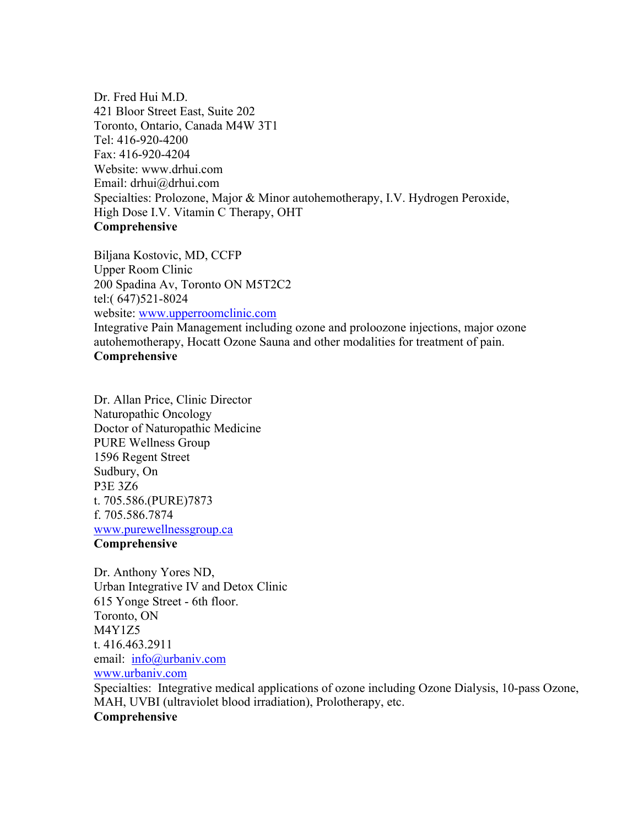Dr. Fred Hui M.D. 421 Bloor Street East, Suite 202 Toronto, Ontario, Canada M4W 3T1 Tel: 416-920-4200 Fax: 416-920-4204 Website: www.drhui.com Email: drhui@drhui.com Specialties: Prolozone, Major & Minor autohemotherapy, I.V. Hydrogen Peroxide, High Dose I.V. Vitamin C Therapy, OHT **Comprehensive**

Biljana Kostovic, MD, CCFP Upper Room Clinic 200 Spadina Av, Toronto ON M5T2C2 tel:( 647)521-8024 website: www.upperroomclinic.com Integrative Pain Management including ozone and proloozone injections, major ozone autohemotherapy, Hocatt Ozone Sauna and other modalities for treatment of pain. **Comprehensive**

Dr. Allan Price, Clinic Director Naturopathic Oncology Doctor of Naturopathic Medicine PURE Wellness Group 1596 Regent Street Sudbury, On P3E 3Z6 t. 705.586.(PURE)7873 f. 705.586.7874 www.purewellnessgroup.ca

#### **Comprehensive**

Dr. Anthony Yores ND, Urban Integrative IV and Detox Clinic 615 Yonge Street - 6th floor. Toronto, ON M4Y1Z5 t. 416.463.2911 email: info@urbaniv.com www.urbaniv.com

Specialties: Integrative medical applications of ozone including Ozone Dialysis, 10-pass Ozone, MAH, UVBI (ultraviolet blood irradiation), Prolotherapy, etc. **Comprehensive**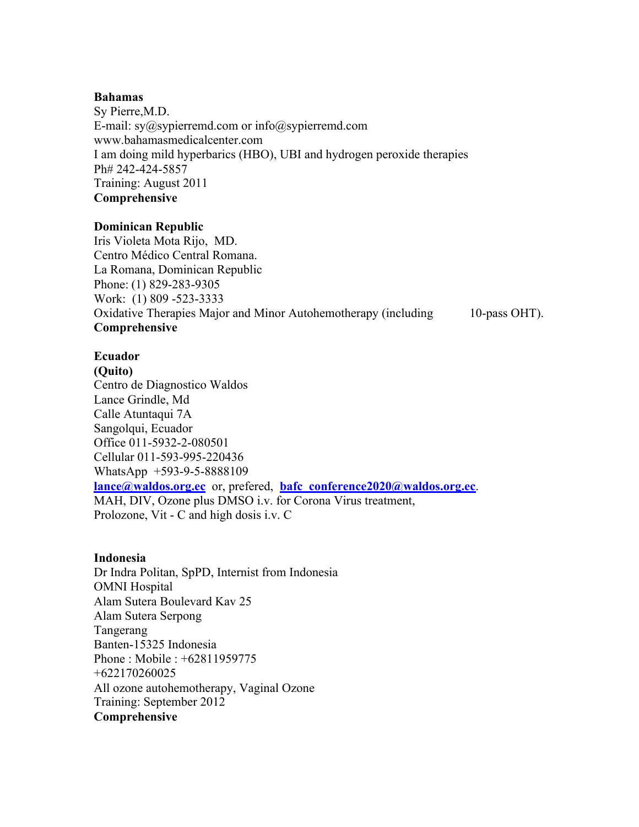#### **Bahamas**

Sy Pierre,M.D. E-mail: sy@sypierremd.com or info@sypierremd.com www.bahamasmedicalcenter.com I am doing mild hyperbarics (HBO), UBI and hydrogen peroxide therapies Ph# 242-424-5857 Training: August 2011 **Comprehensive**

# **Dominican Republic**

Iris Violeta Mota Rijo, MD. Centro Médico Central Romana. La Romana, Dominican Republic Phone: (1) 829-283-9305 Work: (1) 809 -523-3333 Oxidative Therapies Major and Minor Autohemotherapy (including 10-pass OHT). **Comprehensive**

# **Ecuador**

**(Quito)** Centro de Diagnostico Waldos Lance Grindle, Md Calle Atuntaqui 7A Sangolqui, Ecuador Office 011-5932-2-080501 Cellular 011-593-995-220436 WhatsApp +593-9-5-8888109 **lance@waldos.org.ec** or, prefered, **bafc\_conference2020@waldos.org.ec**. MAH, DIV, Ozone plus DMSO i.v. for Corona Virus treatment, Prolozone, Vit - C and high dosis i.v. C

# **Indonesia**

Dr Indra Politan, SpPD, Internist from Indonesia OMNI Hospital Alam Sutera Boulevard Kav 25 Alam Sutera Serpong Tangerang Banten-15325 Indonesia Phone : Mobile : +62811959775 +622170260025 All ozone autohemotherapy, Vaginal Ozone Training: September 2012 **Comprehensive**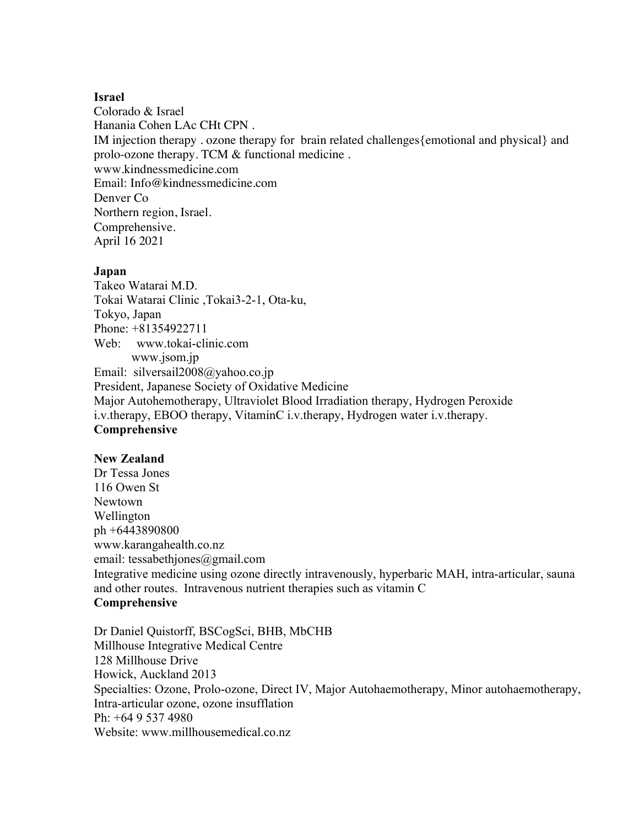## **Israel**

Colorado & Israel Hanania Cohen LAc CHt CPN . IM injection therapy . ozone therapy for brain related challenges{emotional and physical} and prolo-ozone therapy. TCM & functional medicine . www.kindnessmedicine.com Email: Info@kindnessmedicine.com Denver Co Northern region, Israel. Comprehensive. April 16 2021

#### **Japan**

Takeo Watarai M.D. Tokai Watarai Clinic ,Tokai3-2-1, Ota-ku, Tokyo, Japan Phone: +81354922711 Web: www.tokai-clinic.com www.jsom.jp Email: silversail2008@yahoo.co.jp President, Japanese Society of Oxidative Medicine Major Autohemotherapy, Ultraviolet Blood Irradiation therapy, Hydrogen Peroxide i.v.therapy, EBOO therapy, VitaminC i.v.therapy, Hydrogen water i.v.therapy. **Comprehensive**

# **New Zealand**

Dr Tessa Jones 116 Owen St Newtown Wellington ph +6443890800 www.karangahealth.co.nz email: tessabethjones@gmail.com Integrative medicine using ozone directly intravenously, hyperbaric MAH, intra-articular, sauna and other routes. Intravenous nutrient therapies such as vitamin C **Comprehensive**

Dr Daniel Quistorff, BSCogSci, BHB, MbCHB Millhouse Integrative Medical Centre 128 Millhouse Drive Howick, Auckland 2013 Specialties: Ozone, Prolo-ozone, Direct IV, Major Autohaemotherapy, Minor autohaemotherapy, Intra-articular ozone, ozone insufflation Ph: +64 9 537 4980 Website: www.millhousemedical.co.nz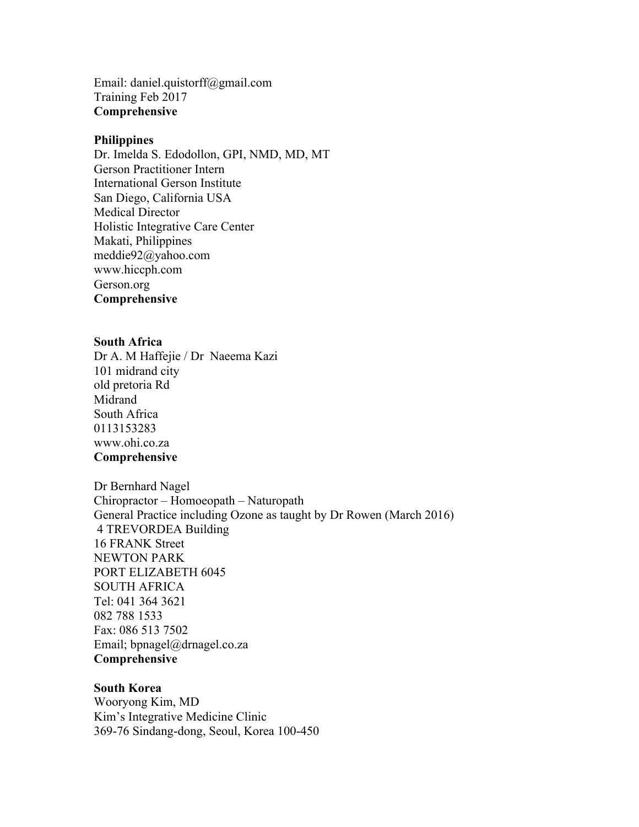Email: daniel.quistorff@gmail.com Training Feb 2017 **Comprehensive**

#### **Philippines**

Dr. Imelda S. Edodollon, GPI, NMD, MD, MT Gerson Practitioner Intern International Gerson Institute San Diego, California USA Medical Director Holistic Integrative Care Center Makati, Philippines meddie92@yahoo.com www.hiccph.com Gerson.org **Comprehensive**

#### **South Africa**

Dr A. M Haffejie / Dr Naeema Kazi 101 midrand city old pretoria Rd Midrand South Africa 0113153283 www.ohi.co.za **Comprehensive**

Dr Bernhard Nagel Chiropractor – Homoeopath – Naturopath General Practice including Ozone as taught by Dr Rowen (March 2016) 4 TREVORDEA Building 16 FRANK Street NEWTON PARK PORT ELIZABETH 6045 SOUTH AFRICA Tel: 041 364 3621 082 788 1533 Fax: 086 513 7502 Email; bpnagel@drnagel.co.za **Comprehensive**

#### **South Korea**

Wooryong Kim, MD Kim's Integrative Medicine Clinic 369-76 Sindang-dong, Seoul, Korea 100-450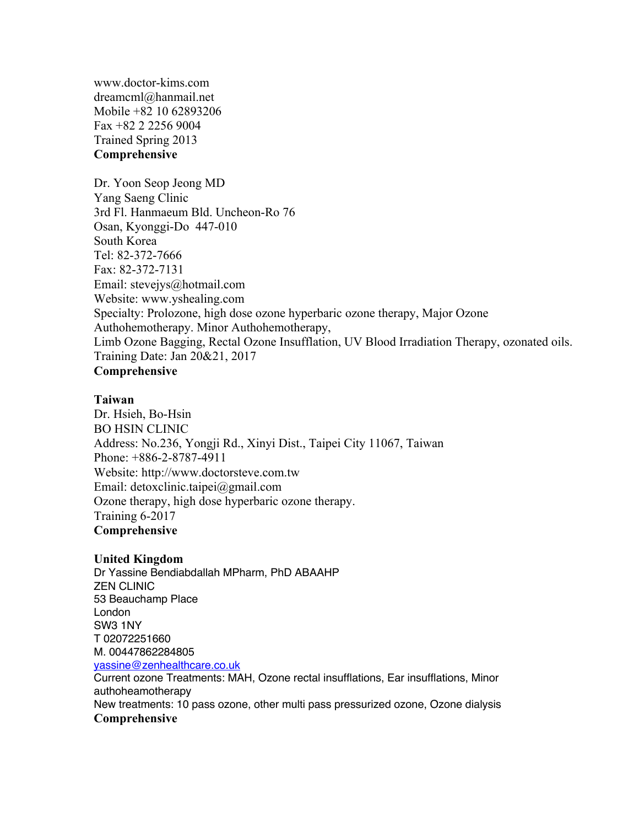www.doctor-kims.com dreamcml@hanmail.net Mobile +82 10 62893206 Fax +82 2 2256 9004 Trained Spring 2013 **Comprehensive**

Dr. Yoon Seop Jeong MD Yang Saeng Clinic 3rd Fl. Hanmaeum Bld. Uncheon-Ro 76 Osan, Kyonggi-Do 447-010 South Korea Tel: 82-372-7666 Fax: 82-372-7131 Email: stevejys@hotmail.com Website: www.yshealing.com Specialty: Prolozone, high dose ozone hyperbaric ozone therapy, Major Ozone Authohemotherapy. Minor Authohemotherapy, Limb Ozone Bagging, Rectal Ozone Insufflation, UV Blood Irradiation Therapy, ozonated oils. Training Date: Jan 20&21, 2017 **Comprehensive**

#### **Taiwan**

Dr. Hsieh, Bo-Hsin BO HSIN CLINIC Address: No.236, Yongji Rd., Xinyi Dist., Taipei City 11067, Taiwan Phone: +886-2-8787-4911 Website: http://www.doctorsteve.com.tw Email: detoxclinic.taipei@gmail.com Ozone therapy, high dose hyperbaric ozone therapy. Training 6-2017 **Comprehensive**

#### **United Kingdom**

Dr Yassine Bendiabdallah MPharm, PhD ABAAHP ZEN CLINIC 53 Beauchamp Place London SW3 1NY T 02072251660 M. 00447862284805 yassine@zenhealthcare.co.uk Current ozone Treatments: MAH, Ozone rectal insufflations, Ear insufflations, Minor

authoheamotherapy New treatments: 10 pass ozone, other multi pass pressurized ozone, Ozone dialysis **Comprehensive**